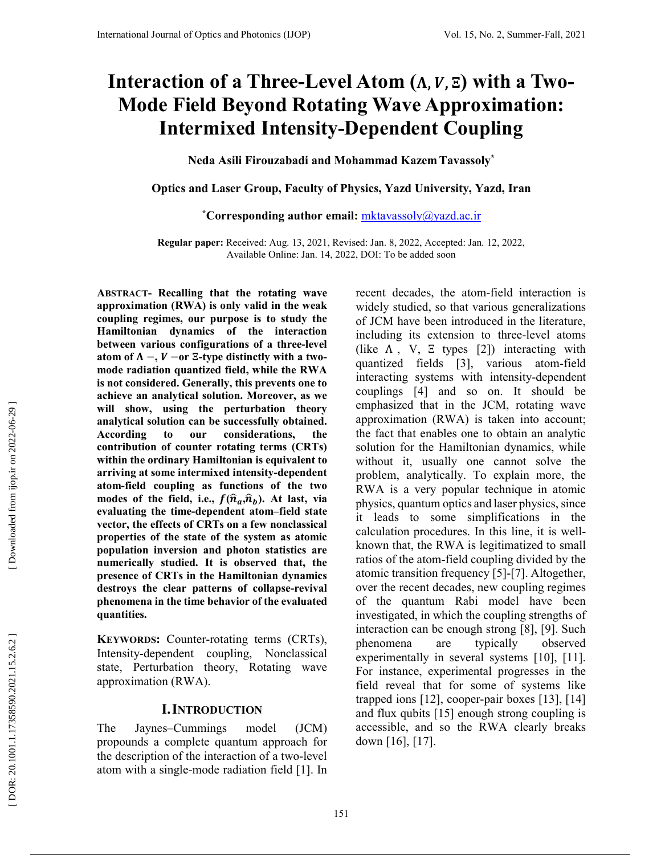# Interaction of a Three-Level Atom ( $\Lambda$ ,  $V$ ,  $\Xi$ ) with a Two-**Mode Field Beyond Rotating Wave Approximation: Intermixed Intensity-Dependent Coupling**

**Neda Asili Firouzabadi and Mohammad Kazem Tavassoly\*** 

**Optics and Laser Group, Faculty of Physics, Yazd University, Yazd, Iran** 

**\*Corresponding author email:** mktavassoly@yazd.ac.ir

**Regular paper:** Received: Aug. 13, 2021, Revised: Jan. 8, 2022, Accepted: Jan. 12, 2022, Available Online: Jan. 14, 2022, DOI: To be added soon

**ABSTRACT - Recalling that the rotating wave approximation (RWA) is only valid in the weak coupling regimes, our purpose is to study the Hamiltonian dynamics of the interaction between various configurations of a three-level atom of**  $\Lambda$  **−,**  $V$  **−or**  $\Xi$ **-type distinctly with a twomode radiation quantized field, while the RWA is not considered. Generally, this prevents one to achieve an analytical solution. Moreover, as we will show, using the perturbation theory analytical solution can be successfully obtained. According to our considerations, the contribution of counter rotating terms (CRTs) within the ordinary Hamiltonian is equivalent to arriving at some intermixed intensity-dependent atom-field coupling as functions of the two**  modes of the field, i.e.,  $f(\hat{n}_a, \hat{n}_b)$ . At last, via **evaluating the time-dependent atom–field state vector, the effects of CRTs on a few nonclassical properties of the state of the system as atomic population inversion and photon statistics are numerically studied. It is observed that, the presence of CRTs in the Hamiltonian dynamics destroys the clear patterns of collapse-revival phenomena in the time behavior of the evaluated quantities.** 

**KEYWORDS:** Counter-rotating terms (CRTs), Intensity-dependent coupling, Nonclassical state, Perturbation theory, Rotating wave approximation (RWA).

# **I. INTRODUCTION**

The Jaynes–Cummings model (JCM) propounds a complete quantum approach for the description of the interaction of a two-level atom with a single-mode radiation field [1]. In recent decades, the atom-field interaction is widely studied, so that various generalizations of JCM have been introduced in the literature, including its extension to three-level atoms (like  $\Lambda$ , V,  $\Xi$  types [2]) interacting with quantized fields [3], various atom-field interacting systems with intensity-dependent couplings [4] and so on. It should be emphasized that in the JCM, rotating wave approximation (RWA) is taken into account; the fact that enables one to obtain an analytic solution for the Hamiltonian dynamics, while without it, usually one cannot solve the problem, analytically. To explain more, the RWA is a very popular technique in atomic physics, quantum optics and laser physics, since it leads to some simplifications in the calculation procedures. In this line, it is wellknown that, the RWA is legitimatized to small ratios of the atom-field coupling divided by the atomic transition frequency [5]-[7]. Altogether, over the recent decades, new coupling regimes of the quantum Rabi model have been investigated, in which the coupling strengths of interaction can be enough strong [8], [9]. Such phenomena are typically observed experimentally in several systems [10], [11]. For instance, experimental progresses in the field reveal that for some of systems like trapped ions [12], cooper-pair boxes [13], [14] and flux qubits [15] enough strong coupling is accessible, and so the RWA clearly breaks down [16], [17].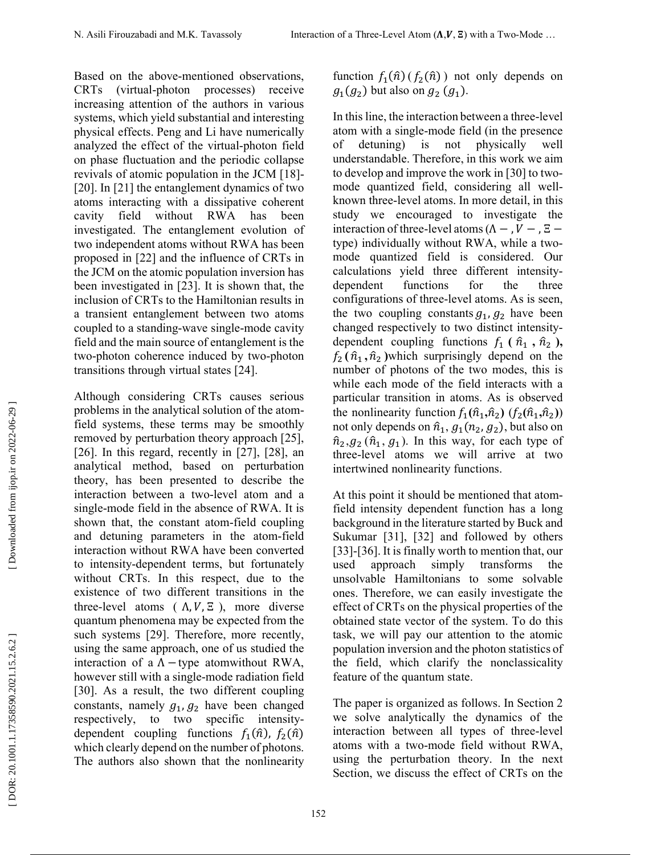Based on the above-mentioned observations, CRTs (virtual-photon processes) receive increasing attention of the authors in various systems, which yield substantial and interesting physical effects. Peng and Li have numerically analyzed the effect of the virtual-photon field on phase fluctuation and the periodic collapse revivals of atomic population in the JCM [18]- [20]. In [21] the entanglement dynamics of two atoms interacting with a dissipative coherent cavity field without RWA has been investigated. The entanglement evolution of two independent atoms without RWA has been proposed in [22] and the influence of CRTs in the JCM on the atomic population inversion has been investigated in [23]. It is shown that, the inclusion of CRTs to the Hamiltonian results in a transient entanglement between two atoms coupled to a standing-wave single-mode cavity field and the main source of entanglement is the two-photon coherence induced by two-photon transitions through virtual states [24].

Although considering CRTs causes serious problems in the analytical solution of the atomfield systems, these terms may be smoothly removed by perturbation theory approach [25], [26]. In this regard, recently in  $[27]$ ,  $[28]$ , an analytical method, based on perturbation theory, has been presented to describe the interaction between a two-level atom and a single-mode field in the absence of RWA. It is shown that, the constant atom-field coupling and detuning parameters in the atom-field interaction without RWA have been converted to intensity-dependent terms, but fortunately without CRTs. In this respect, due to the existence of two different transitions in the three-level atoms ( $\Lambda$ ,  $V$ ,  $\Xi$ ), more diverse quantum phenomena may be expected from the such systems [29]. Therefore, more recently, using the same approach, one of us studied the interaction of a  $\Lambda$  –type atomwithout RWA, however still with a single-mode radiation field [30]. As a result, the two different coupling constants, namely  $g_1$ ,  $g_2$  have been changed respectively, to two specific intensitydependent coupling functions  $f_1(\hat{n})$ ,  $f_2(\hat{n})$ which clearly depend on the number of photons. The authors also shown that the nonlinearity

function  $f_1(\hat{n})$  ( $f_2(\hat{n})$ ) not only depends on  $g_1(g_2)$  but also on  $g_2(g_1)$ .

In this line, the interaction between a three-level atom with a single-mode field (in the presence of detuning) is not physically well understandable. Therefore, in this work we aim to develop and improve the work in [30] to twomode quantized field, considering all wellknown three-level atoms. In more detail, in this study we encouraged to investigate the interaction of three-level atoms  $(Λ –, V –, E –$ type) individually without RWA, while a twomode quantized field is considered. Our calculations yield three different intensitydependent functions for the three configurations of three-level atoms. As is seen, the two coupling constants  $g_1$ ,  $g_2$  have been changed respectively to two distinct intensitydependent coupling functions  $f_1$  ( $\hat{n}_1$ ,  $\hat{n}_2$ ),  $f_2(\hat{n}_1, \hat{n}_2)$  which surprisingly depend on the number of photons of the two modes, this is while each mode of the field interacts with a particular transition in atoms. As is observed the nonlinearity function  $f_1(\hat{n}_1, \hat{n}_2)$   $(f_2(\hat{n}_1, \hat{n}_2))$ not only depends on  $\hat{n}_1$ ,  $g_1(n_2, g_2)$ , but also on  $\hat{n}_2$ ,  $g_2$  ( $\hat{n}_1$ ,  $g_1$ ). In this way, for each type of three-level atoms we will arrive at two intertwined nonlinearity functions.

At this point it should be mentioned that atomfield intensity dependent function has a long background in the literature started by Buck and Sukumar [31], [32] and followed by others [33]-[36]. It is finally worth to mention that, our used approach simply transforms the unsolvable Hamiltonians to some solvable ones. Therefore, we can easily investigate the effect of CRTs on the physical properties of the obtained state vector of the system. To do this task, we will pay our attention to the atomic population inversion and the photon statistics of the field, which clarify the nonclassicality feature of the quantum state.

The paper is organized as follows. In Section 2 we solve analytically the dynamics of the interaction between all types of three-level atoms with a two-mode field without RWA, using the perturbation theory. In the next Section, we discuss the effect of CRTs on the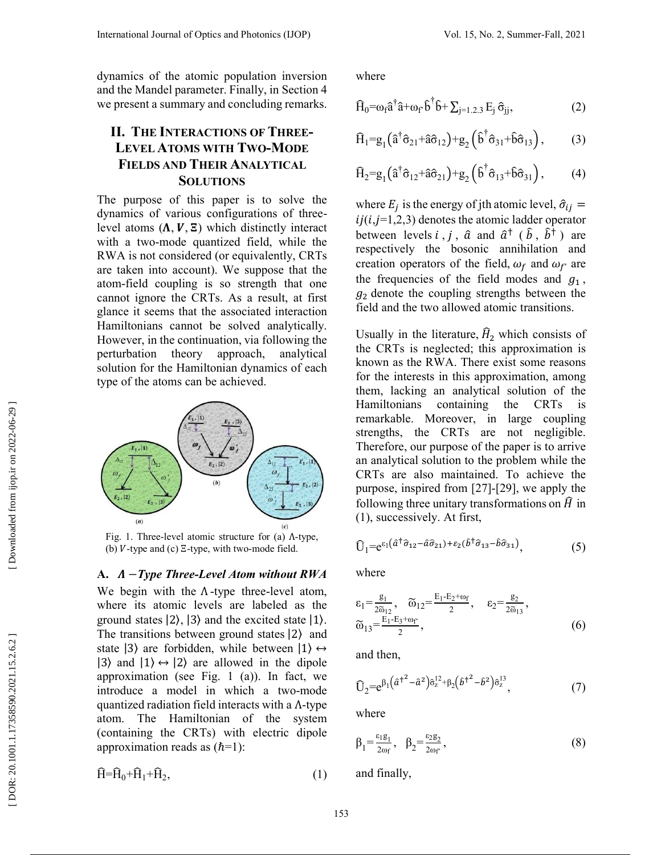dynamics of the atomic population inversion and the Mandel parameter. Finally, in Section 4 we present a summary and concluding remarks.

# **II. THE INTERACTIONS OF THREE - LEVEL ATOMS WITH TWO-MODE FIELDS AND THEIR ANALYTICAL SOLUTIONS**

The purpose of this paper is to solve the dynamics of various configurations of threelevel atoms  $(\Lambda, V, \Xi)$  which distinctly interact with a two-mode quantized field, while the RWA is not considered (or equivalently, CRTs are taken into account). We suppose that the atom-field coupling is so strength that one cannot ignore the CRTs. As a result, at first glance it seems that the associated interaction Hamiltonians cannot be solved analytically. However, in the continuation, via following the perturbation theory approach, analytical solution for the Hamiltonian dynamics of each type of the atoms can be achieved.



Fig. 1. Three-level atomic structure for (a) Λ-type, (b)  $V$ -type and (c)  $E$ -type, with two-mode field.

### **A.** −*Type Three-Level Atom without RWA*

We begin with the  $\Lambda$ -type three-level atom, where its atomic levels are labeled as the ground states  $|2\rangle$ ,  $|3\rangle$  and the excited state  $|1\rangle$ . The transitions between ground states |2 ⟩ and state  $|3\rangle$  are forbidden, while between  $|1\rangle \leftrightarrow$  $|3\rangle$  and  $|1\rangle \leftrightarrow |2\rangle$  are allowed in the dipole approximation (see Fig. 1 (a)). In fact, we introduce a model in which a two-mode quantized radiation field interacts with a Λ-type atom. The Hamiltonian of the system (containing the CRTs) with electric dipole approximation reads as  $(\hbar=1)$ :

$$
\hat{H} = \hat{H}_0 + \hat{H}_1 + \hat{H}_2,\tag{1}
$$

where

$$
\widehat{H}_{0} = \omega_{f} \widehat{a}^{\dagger} \widehat{a} + \omega_{f} \widehat{b}^{\dagger} \widehat{b} + \sum_{j=1,2,3} E_{j} \widehat{\sigma}_{jj}, \qquad (2)
$$

$$
\widehat{H}_1 = g_1 \left( \widehat{a}^\dagger \widehat{\sigma}_{21} + \widehat{a} \widehat{\sigma}_{12} \right) + g_2 \left( \widehat{b}^\dagger \widehat{\sigma}_{31} + \widehat{b} \widehat{\sigma}_{13} \right), \tag{3}
$$

$$
\widehat{H}_2 = g_1 \left( \widehat{a}^\dagger \widehat{\sigma}_{12} + \widehat{a} \widehat{\sigma}_{21} \right) + g_2 \left( \widehat{b}^\dagger \widehat{\sigma}_{13} + \widehat{b} \widehat{\sigma}_{31} \right), \tag{4}
$$

where  $E_j$  is the energy of jth atomic level,  $\hat{\sigma}_{ij} =$  $ij(i,j=1,2,3)$  denotes the atomic ladder operator between levels *i*, *j*,  $\hat{a}$  and  $\hat{a}^{\dagger}$  ( $\hat{b}$ ,  $\hat{b}^{\dagger}$ ) are respectively the bosonic annihilation and creation operators of the field,  $\omega_f$  and  $\omega_{f'}$  are the frequencies of the field modes and  $g_1$ ,  $g_2$  denote the coupling strengths between the field and the two allowed atomic transitions.

Usually in the literature,  $H_2$  which consists of the CRTs is neglected; this approximation is known as the RWA. There exist some reasons for the interests in this approximation, among them, lacking an analytical solution of the Hamiltonians containing the CRTs is remarkable. Moreover, in large coupling strengths, the CRTs are not negligible. Therefore, our purpose of the paper is to arrive an analytical solution to the problem while the CRTs are also maintained. To achieve the purpose, inspired from [27]-[29], we apply the following three unitary transformations on  $\hat{H}$  in  $(1)$ , successively. At first,

$$
\hat{U}_1 = e^{\epsilon_1 (\hat{a}^\dagger \hat{\sigma}_{12} - \hat{a} \hat{\sigma}_{21}) + \epsilon_2 (\hat{b}^\dagger \hat{\sigma}_{13} - \hat{b} \hat{\sigma}_{31})}, \tag{5}
$$

where

$$
\varepsilon_1 = \frac{g_1}{2\tilde{\omega}_{12}}, \quad \tilde{\omega}_{12} = \frac{E_1 - E_2 + \omega_f}{2}, \quad \varepsilon_2 = \frac{g_2}{2\tilde{\omega}_{13}},
$$
  

$$
\tilde{\omega}_{13} = \frac{E_1 - E_3 + \omega_f}{2}, \tag{6}
$$

and then,

$$
\widehat{U}_2 = e^{\beta_1 \left(\hat{\alpha}^2 - \hat{\alpha}^2\right) \hat{\sigma}_z^{12} + \beta_2 \left(\hat{\delta}^2 - \hat{\delta}^2\right) \hat{\sigma}_z^{13}},\tag{7}
$$

where

$$
\beta_1 = \frac{\varepsilon_1 g_1}{2\omega_f}, \quad \beta_2 = \frac{\varepsilon_2 g_2}{2\omega_f},\tag{8}
$$

and finally,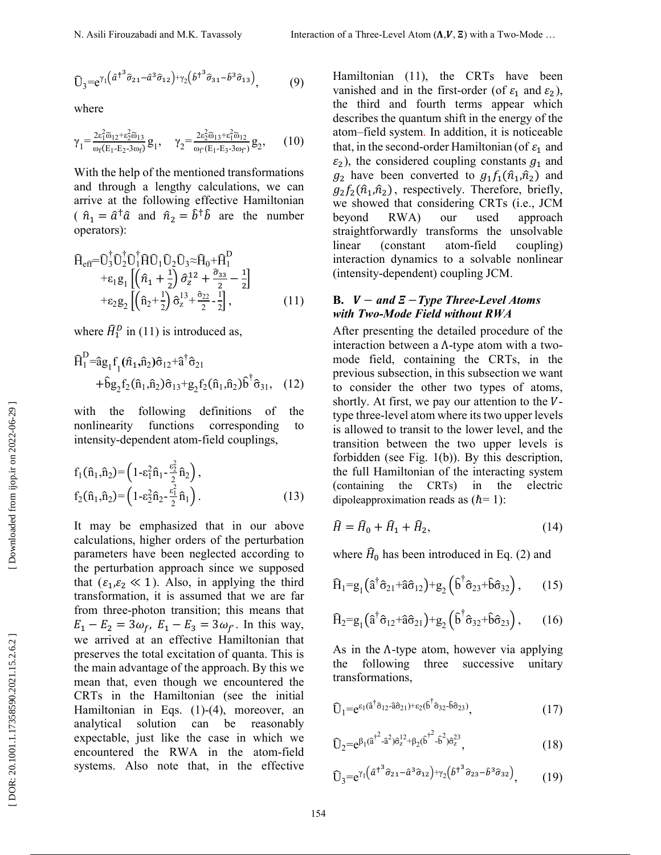$$
\widehat{U}_3 = e^{\gamma_1 \left(\widehat{a}^{\dagger^3} \widehat{\sigma}_{21} - \widehat{a}^3 \widehat{\sigma}_{12}\right) + \gamma_2 \left(\widehat{b}^{\dagger^3} \widehat{\sigma}_{31} - \widehat{b}^3 \widehat{\sigma}_{13}\right)},\tag{9}
$$

where

$$
\gamma_1 = \frac{2\varepsilon_1^2 \widetilde{\omega}_{12} + \varepsilon_2^2 \widetilde{\omega}_{13}}{\omega_f (E_1 - E_2 - 3\omega_f)} g_1, \quad \gamma_2 = \frac{2\varepsilon_2^2 \widetilde{\omega}_{13} + \varepsilon_1^2 \widetilde{\omega}_{12}}{\omega_f (E_1 - E_3 - 3\omega_f)} g_2, \quad (10)
$$

With the help of the mentioned transformations and through a lengthy calculations, we can arrive at the following effective Hamiltonian (  $\hat{n}_1 = \hat{a}^\dagger \hat{a}$  and  $\hat{n}_2 = \hat{b}^\dagger \hat{b}$  are the number operators):<br> $\frac{1}{2}$ 

$$
\hat{H}_{eff} = \hat{U}_{3}^{\dagger} \hat{U}_{2}^{\dagger} \hat{U}_{1}^{\dagger} \hat{H} \hat{U}_{1} \hat{U}_{2} \hat{U}_{3} \approx \hat{H}_{0} + \hat{H}_{1}^{D} \n+ \varepsilon_{1} g_{1} \left[ \left( \hat{n}_{1} + \frac{1}{2} \right) \hat{\sigma}_{z}^{12} + \frac{\hat{\sigma}_{33}}{2} - \frac{1}{2} \right] \n+ \varepsilon_{2} g_{2} \left[ \left( \hat{n}_{2} + \frac{1}{2} \right) \hat{\sigma}_{z}^{13} + \frac{\hat{\sigma}_{22}}{2} - \frac{1}{2} \right],
$$
\n(11)

where  $\hat{H}_1^D$  in (11) is introduced as,

$$
\hat{H}_1^D = \hat{a}g_1 f_1(\hat{n}_1, \hat{n}_2) \hat{\sigma}_{12} + \hat{a}^\dagger \hat{\sigma}_{21} + \hat{b}g_2 f_2(\hat{n}_1, \hat{n}_2) \hat{\sigma}_{13} + g_2 f_2(\hat{n}_1, \hat{n}_2) \hat{b}^\dagger \hat{\sigma}_{31}, \quad (12)
$$

with the following definitions of the nonlinearity functions corresponding to intensity-dependent atom-field couplings,

$$
f_1(\hat{n}_1, \hat{n}_2) = \left(1 - \varepsilon_1^2 \hat{n}_1 - \frac{\varepsilon_2^2}{2} \hat{n}_2\right),
$$
  
\n
$$
f_2(\hat{n}_1, \hat{n}_2) = \left(1 - \varepsilon_2^2 \hat{n}_2 - \frac{\varepsilon_1^2}{2} \hat{n}_1\right).
$$
 (13)

It may be emphasized that in our above calculations, higher orders of the perturbation parameters have been neglected according to the perturbation approach since we supposed that ( $\varepsilon_1$ , $\varepsilon_2$   $\ll$  1). Also, in applying the third transformation, it is assumed that we are far from three-photon transition; this means that  $E_1 - E_2 = 3\omega_f$ ,  $E_1 - E_3 = 3\omega_f$ . In this way, we arrived at an effective Hamiltonian that preserves the total excitation of quanta. This is the main advantage of the approach. By this we mean that, even though we encountered the CRTs in the Hamiltonian (see the initial Hamiltonian in Eqs. (1)-(4), moreover, an analytical solution can be reasonably expectable, just like the case in which we encountered the RWA in the atom-field systems. Also note that, in the effective

Hamiltonian (11), the CRTs have been vanished and in the first-order (of  $\varepsilon_1$  and  $\varepsilon_2$ ), the third and fourth terms appear which describes the quantum shift in the energy of the atom–field system . In addition, it is noticeable that, in the second-order Hamiltonian (of  $\varepsilon_1$  and  $\varepsilon_2$ ), the considered coupling constants  $g_1$  and  $g_2$  have been converted to  $g_1 f_1(\hat{n}_1, \hat{n}_2)$  and  $g_2 f_2(\hat{n}_1, \hat{n}_2)$ , respectively. Therefore, briefly, we showed that considering CRTs (i.e., JCM beyond RWA) our used approach straightforwardly transforms the unsolvable linear (constant atom-field coupling) interaction dynamics to a solvable nonlinear (intensity-dependent) coupling JCM.

### **B.**  $V - and E - Type Three-Level Atoms$ *with Two-Mode Field without RWA*

After presenting the detailed procedure of the interaction between a Λ-type atom with a twomode field, containing the CRTs, in the previous subsection, in this subsection we want to consider the other two types of atoms, shortly. At first, we pay our attention to the  $V$ type three-level atom where its two upper levels is allowed to transit to the lower level, and the transition between the two upper levels is forbidden (see Fig. 1(b)). By this description, the full Hamiltonian of the interacting system (containing the CRTs) in the electric dipoleapproximation reads as  $(h=1)$ :

$$
\widehat{H} = \widehat{H}_0 + \widehat{H}_1 + \widehat{H}_2,\tag{14}
$$

where  $\hat{H}_0$  has been introduced in Eq. (2) and

$$
\widehat{H}_1 = g_1 \left( \widehat{a}^\dagger \widehat{\sigma}_{21} + \widehat{a} \widehat{\sigma}_{12} \right) + g_2 \left( \widehat{b}^\dagger \widehat{\sigma}_{23} + \widehat{b} \widehat{\sigma}_{32} \right), \qquad (15)
$$

$$
\widehat{H}_2 = g_1 \left( \widehat{a}^\dagger \widehat{\sigma}_{12} + \widehat{a} \widehat{\sigma}_{21} \right) + g_2 \left( \widehat{b}^\dagger \widehat{\sigma}_{32} + \widehat{b} \widehat{\sigma}_{23} \right), \qquad (16)
$$

As in the Λ-type atom, however via applying the following three successive unitary transformations,

$$
\widehat{U}_1 = e^{\epsilon_1(\widehat{a}^\dagger \widehat{\sigma}_{12} - \widehat{a}\widehat{\sigma}_{21}) + \epsilon_2(\widehat{b}^\dagger \widehat{\sigma}_{32} - \widehat{b}\widehat{\sigma}_{23})},\tag{17}
$$

$$
\widehat{U}_{2} = e^{\beta_1(\hat{a}^{\dagger^{2}} - \hat{a}^{2})\hat{\sigma}_{z}^{12} + \beta_2(\hat{b}^{\dagger^{2}} - \hat{b}^{2})\hat{\sigma}_{z}^{23}}, \qquad (18)
$$

$$
\widehat{U}_3 = e^{\gamma_1 \left(\widehat{a}^{\dagger^3} \widehat{\sigma}_{21} - \widehat{a}^3 \widehat{\sigma}_{12}\right) + \gamma_2 \left(\widehat{b}^{\dagger^3} \widehat{\sigma}_{23} - \widehat{b}^3 \widehat{\sigma}_{32}\right)},\qquad(19)
$$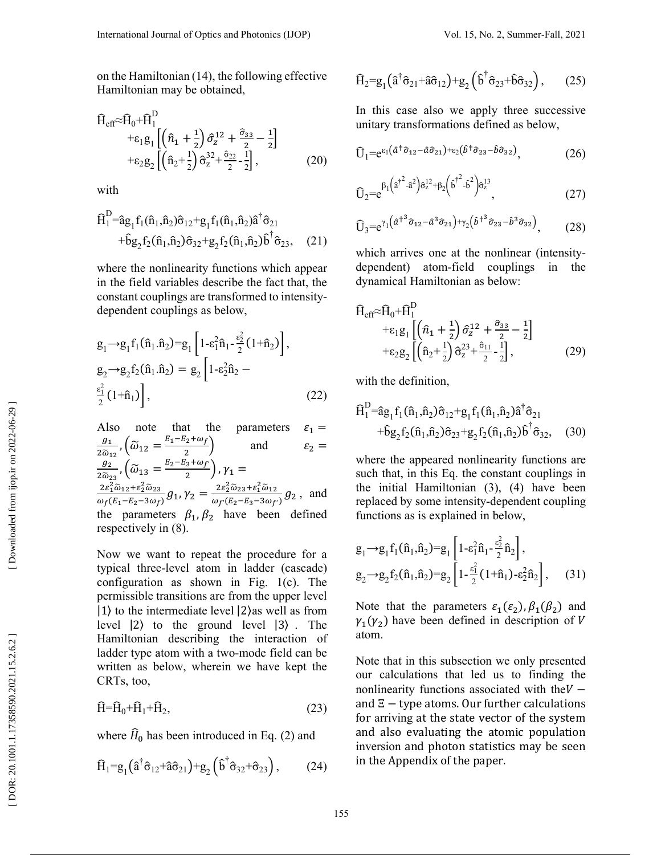on the Hamiltonian (14), the following effective Hamiltonian may be obtained,

$$
\hat{H}_{eff} \approx \hat{H}_0 + \hat{H}_1^D
$$
\n
$$
+ \varepsilon_1 g_1 \left[ \left( \hat{n}_1 + \frac{1}{2} \right) \hat{\sigma}_z^{12} + \frac{\hat{\sigma}_{33}}{2} - \frac{1}{2} \right]
$$
\n
$$
+ \varepsilon_2 g_2 \left[ \left( \hat{n}_2 + \frac{1}{2} \right) \hat{\sigma}_z^{32} + \frac{\hat{\sigma}_{22}}{2} - \frac{1}{2} \right],
$$
\n(20)

with

$$
\hat{H}_1^D = \hat{a}g_1 f_1(\hat{n}_1, \hat{n}_2)\hat{\sigma}_{12} + g_1 f_1(\hat{n}_1, \hat{n}_2)\hat{a}^\dagger \hat{\sigma}_{21} \n+ \hat{b}g_2 f_2(\hat{n}_1, \hat{n}_2)\hat{\sigma}_{32} + g_2 f_2(\hat{n}_1, \hat{n}_2)\hat{b}^\dagger \hat{\sigma}_{23},
$$
\n(21)

where the nonlinearity functions which appear in the field variables describe the fact that, the constant couplings are transformed to intensitydependent couplings as below,

$$
g_{1} \rightarrow g_{1} f_{1}(\hat{n}_{1}.\hat{n}_{2}) = g_{1} \left[ 1 - \varepsilon_{1}^{2} \hat{n}_{1} - \frac{\varepsilon_{2}^{2}}{2} (1 + \hat{n}_{2}) \right],
$$
  
\n
$$
g_{2} \rightarrow g_{2} f_{2}(\hat{n}_{1}.\hat{n}_{2}) = g_{2} \left[ 1 - \varepsilon_{2}^{2} \hat{n}_{2} - \frac{\varepsilon_{1}^{2}}{2} (1 + \hat{n}_{1}) \right],
$$
\n(22)

Also note that the parameters  $\varepsilon_1 =$  $\mathfrak{g}_1$  $\frac{g_1}{2\widetilde{\omega}_{12}}$ ,  $(\widetilde{\omega}_{12} = \frac{E_1 - E_2 + \omega_f}{2})$  $\left(\frac{2+3x}{2}\right)$  and  $\varepsilon_2 =$  $g_2$  $\frac{g_2}{2\tilde{\omega}_{23}}$ ,  $(\tilde{\omega}_{13} = \frac{E_2 - E_3 + \omega_f}{2})$  $(\frac{3}{2})$ ,  $\gamma_1 =$  $2\varepsilon_1^2\widetilde{\omega}_{12}+\varepsilon_2^2\widetilde{\omega}_{23}$  $\frac{2\varepsilon_1^2 \widetilde{\omega}_{12} + \varepsilon_2^2 \widetilde{\omega}_{23}}{\omega_f (E_1 - E_2 - 3\omega_f)} g_1$ ,  $\gamma_2 = \frac{2\varepsilon_2^2 \widetilde{\omega}_{23} + \varepsilon_1^2 \widetilde{\omega}_{12}}{\omega_f (E_2 - E_3 - 3\omega_f)}$  $\frac{Ze_2\omega_{23}+e_1\omega_{12}}{\omega_{f'}(E_2-E_3-3\omega_{f'})}g_2$ , and the parameters  $\beta_1$ ,  $\beta_2$  have been defined respectively in (8).

Now we want to repeat the procedure for a typical three-level atom in ladder (cascade) configuration as shown in Fig. 1(c). The permissible transitions are from the upper level |1⟩ to the intermediate level |2⟩as well as from level |2 ⟩ to the ground level |3 ⟩ . The Hamiltonian describing the interaction of ladder type atom with a two-mode field can be written as below, wherein we have kept the CRTs, too,

$$
\widehat{H} = \widehat{H}_0 + \widehat{H}_1 + \widehat{H}_2,\tag{23}
$$

where  $H_0$  has been introduced in Eq. (2) and

$$
\widehat{H}_1 = g_1 \left( \widehat{a}^\dagger \widehat{\sigma}_{12} + \widehat{a} \widehat{\sigma}_{21} \right) + g_2 \left( \widehat{b}^\dagger \widehat{\sigma}_{32} + \widehat{\sigma}_{23} \right), \tag{24}
$$

$$
\widehat{\mathbf{H}}_2 = \mathbf{g}_1 \left( \widehat{\mathbf{a}}^\dagger \widehat{\mathbf{\sigma}}_{21} + \widehat{\mathbf{a}} \widehat{\mathbf{\sigma}}_{12} \right) + \mathbf{g}_2 \left( \widehat{\mathbf{b}}^\dagger \widehat{\mathbf{\sigma}}_{23} + \widehat{\mathbf{b}} \widehat{\mathbf{\sigma}}_{32} \right), \qquad (25)
$$

In this case also we apply three successive unitary transformations defined as below,

$$
\hat{U}_1 = e^{\epsilon_1(\hat{a}^\dagger \hat{\sigma}_{12} - \hat{a}\hat{\sigma}_{21}) + \epsilon_2(\hat{b}^\dagger \hat{\sigma}_{23} - \hat{b}\hat{\sigma}_{32})}, \tag{26}
$$

$$
\mathbf{0}_{2} = e^{\beta_{1} \left(\hat{a}^{\dagger^{2}} - \hat{a}^{2}\right) \hat{\sigma}_{z}^{12} + \beta_{2} \left(\hat{b}^{\dagger^{2}} - \hat{b}^{2}\right) \hat{\sigma}_{z}^{13}}, \tag{27}
$$

$$
\widehat{U}_3 = e^{\gamma_1 \left(\widehat{a}^{\dagger^3} \widehat{\sigma}_{12} - \widehat{a}^3 \widehat{\sigma}_{21}\right) + \gamma_2 \left(\widehat{b}^{\dagger^3} \widehat{\sigma}_{23} - \widehat{b}^3 \widehat{\sigma}_{32}\right)},\tag{28}
$$

which arrives one at the nonlinear (intensitydependent) atom-field couplings in the dynamical Hamiltonian as below:

$$
\hat{H}_{eff} \approx \hat{H}_0 + \hat{H}_1^D
$$
\n
$$
+ \varepsilon_1 g_1 \left[ \left( \hat{n}_1 + \frac{1}{2} \right) \hat{\sigma}_z^{12} + \frac{\hat{\sigma}_{33}}{2} - \frac{1}{2} \right]
$$
\n
$$
+ \varepsilon_2 g_2 \left[ \left( \hat{n}_2 + \frac{1}{2} \right) \hat{\sigma}_z^{23} + \frac{\hat{\sigma}_{11}}{2} - \frac{1}{2} \right],
$$
\n(29)

with the definition.

$$
\hat{H}_1^D = \hat{a}g_1 f_1(\hat{n}_1, \hat{n}_2) \hat{\sigma}_{12} + g_1 f_1(\hat{n}_1, \hat{n}_2) \hat{a}^\dagger \hat{\sigma}_{21} \n+ \hat{b}g_2 f_2(\hat{n}_1, \hat{n}_2) \hat{\sigma}_{23} + g_2 f_2(\hat{n}_1, \hat{n}_2) \hat{b}^\dagger \hat{\sigma}_{32},
$$
\n(30)

where the appeared nonlinearity functions are such that, in this Eq. the constant couplings in the initial Hamiltonian (3), (4) have been replaced by some intensity-dependent coupling functions as is explained in below,

$$
g_1 \rightarrow g_1 f_1(\hat{n}_1, \hat{n}_2) = g_1 \left[ 1 - \varepsilon_1^2 \hat{n}_1 - \frac{\varepsilon_2^2}{2} \hat{n}_2 \right],
$$
  
\n
$$
g_2 \rightarrow g_2 f_2(\hat{n}_1, \hat{n}_2) = g_2 \left[ 1 - \frac{\varepsilon_1^2}{2} (1 + \hat{n}_1) - \varepsilon_2^2 \hat{n}_2 \right],
$$
 (31)

Note that the parameters  $\varepsilon_1(\varepsilon_2)$ ,  $\beta_1(\beta_2)$  and  $\gamma_1(\gamma_2)$  have been defined in description of V atom.

Note that in this subsection we only presented our calculations that led us to finding the nonlinearity functions associated with the  $V$ and  $\Xi$  – type atoms. Our further calculations for arriving at the state vector of the system and also evaluating the atomic population inversion and photon statistics may be seen in the Appendix of the paper.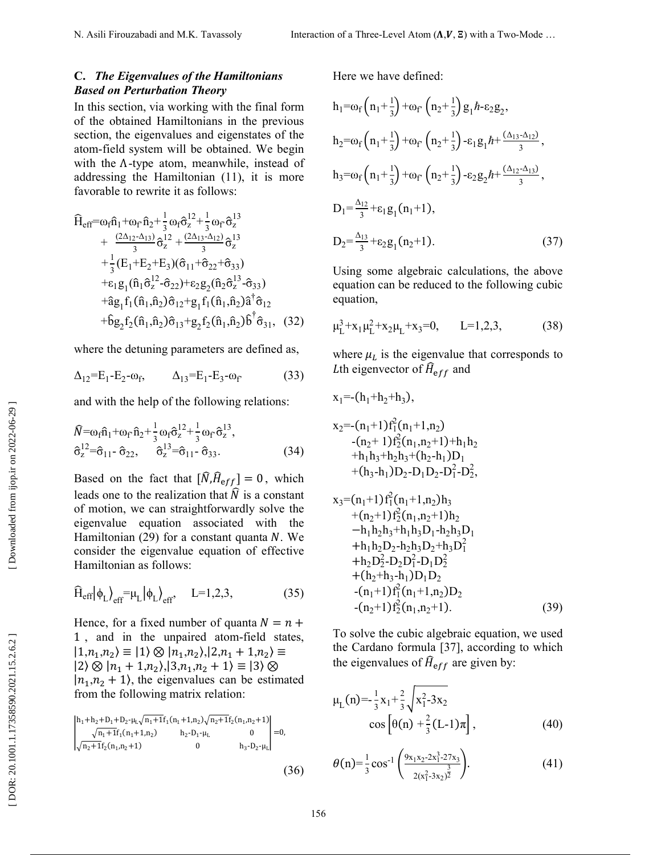### **C.** *The Eigenvalues of the Hamiltonians Based on Perturbation Theory*

In this section, via working with the final form of the obtained Hamiltonians in the previous section, the eigenvalues and eigenstates of the atom-field system will be obtained. We begin with the Λ-type atom, meanwhile, instead of addressing the Hamiltonian (11), it is more favorable to rewrite it as follows:

$$
\hat{H}_{eff} = \omega_f \hat{n}_1 + \omega_f \hat{n}_2 + \frac{1}{3} \omega_f \hat{\sigma}_z^{12} + \frac{1}{3} \omega_f \hat{\sigma}_z^{13} \n+ \frac{(2\Delta_{12} - \Delta_{13})}{3} \hat{\sigma}_z^{12} + \frac{(2\Delta_{13} - \Delta_{12})}{3} \hat{\sigma}_z^{13} \n+ \frac{1}{3} (E_1 + E_2 + E_3) (\hat{\sigma}_{11} + \hat{\sigma}_{22} + \hat{\sigma}_{33}) \n+ \epsilon_1 g_1 (\hat{n}_1 \hat{\sigma}_z^{12} - \hat{\sigma}_{22}) + \epsilon_2 g_2 (\hat{n}_2 \hat{\sigma}_z^{13} - \hat{\sigma}_{33}) \n+ \hat{a} g_1 f_1 (\hat{n}_1, \hat{n}_2) \hat{\sigma}_{12} + g_1 f_1 (\hat{n}_1, \hat{n}_2) \hat{a}^\dagger \hat{\sigma}_{12} \n+ \hat{b} g_2 f_2 (\hat{n}_1, \hat{n}_2) \hat{\sigma}_{13} + g_2 f_2 (\hat{n}_1, \hat{n}_2) \hat{b}^\dagger \hat{\sigma}_{31}, \quad (32)
$$

where the detuning parameters are defined as,

$$
\Delta_{12} = E_1 - E_2 - \omega_f, \qquad \Delta_{13} = E_1 - E_3 - \omega_f \qquad (33)
$$

and with the help of the following relations:

$$
\begin{aligned}\n\widehat{N} &= \omega_f \widehat{n}_1 + \omega_f \,\widehat{n}_2 + \frac{1}{3} \omega_f \widehat{\sigma}_z^{12} + \frac{1}{3} \omega_f \,\widehat{\sigma}_z^{13}, \\
\widehat{\sigma}_z^{12} &= \widehat{\sigma}_{11} - \widehat{\sigma}_{22}, \qquad \widehat{\sigma}_z^{13} = \widehat{\sigma}_{11} - \widehat{\sigma}_{33}.\n\end{aligned} \tag{34}
$$

Based on the fact that  $[\hat{N}, \hat{H}_{eff}] = 0$ , which leads one to the realization that  $\tilde{N}$  is a constant of motion, we can straightforwardly solve the eigenvalue equation associated with the Hamiltonian (29) for a constant quanta N. We consider the eigenvalue equation of effective Hamiltonian as follows:

$$
\widehat{H}_{eff} |\phi_L\rangle_{eff} = \mu_L |\phi_L\rangle_{eff}, \quad L = 1, 2, 3,
$$
\n(35)

Hence, for a fixed number of quanta  $N = n +$ 1 , and in the unpaired atom-field states,  $|1,n_1,n_2\rangle \equiv |1\rangle \otimes |n_1,n_2\rangle, |2,n_1+1,n_2\rangle \equiv$  $|2\rangle \otimes |n_1 + 1, n_2\rangle, |3, n_1, n_2 + 1\rangle \equiv |3\rangle \otimes$  $|n_1, n_2 + 1\rangle$ , the eigenvalues can be estimated from the following matrix relation:

$$
\begin{vmatrix} h_1 + h_2 + D_1 + D_2 - \mu_L \sqrt{n_1 + 1} f_1(n_1 + 1, n_2) \sqrt{n_2 + 1} f_2(n_1, n_2 + 1) \\ \sqrt{n_1 + 1} f_1(n_1 + 1, n_2) & h_2 - D_1 - \mu_L & 0 \\ \sqrt{n_2 + 1} f_2(n_1, n_2 + 1) & 0 & h_3 - D_2 - \mu_L \end{vmatrix} = 0,
$$

Here we have defined:  $\frac{1}{2}$ 

$$
h_1 = \omega_f \left(n_1 + \frac{1}{3}\right) + \omega_f \left(n_2 + \frac{1}{3}\right) g_1 h - \varepsilon_2 g_2,
$$
  
\n
$$
h_2 = \omega_f \left(n_1 + \frac{1}{3}\right) + \omega_f \left(n_2 + \frac{1}{3}\right) - \varepsilon_1 g_1 h + \frac{(\Delta_{13} - \Delta_{12})}{3},
$$
  
\n
$$
h_3 = \omega_f \left(n_1 + \frac{1}{3}\right) + \omega_f \left(n_2 + \frac{1}{3}\right) - \varepsilon_2 g_2 h + \frac{(\Delta_{12} - \Delta_{13})}{3},
$$
  
\n
$$
D_1 = \frac{\Delta_{12}}{3} + \varepsilon_1 g_1 (n_1 + 1),
$$
  
\n
$$
D_2 = \frac{\Delta_{13}}{3} + \varepsilon_2 g_1 (n_2 + 1).
$$
  
\n(37)

Using some algebraic calculations, the above equation can be reduced to the following cubic equation,

$$
\mu_L^3 + x_1 \mu_L^2 + x_2 \mu_L + x_3 = 0, \qquad L = 1, 2, 3,
$$
 (38)

where  $\mu_L$  is the eigenvalue that corresponds to Lth eigenvector of  $\hat{H}_{eff}$  and

$$
x_1 = -(h_1 + h_2 + h_3),
$$
  
\n
$$
x_2 = -(n_1 + 1) f_1^2(n_1 + 1, n_2)
$$
  
\n
$$
-(n_2 + 1) f_2^2(n_1, n_2 + 1) + h_1 h_2
$$
  
\n
$$
+ h_1 h_3 + h_2 h_3 + (h_2 - h_1) D_1
$$
  
\n
$$
+(h_3 - h_1) D_2 - D_1 D_2 - D_1^2 - D_2^2,
$$
  
\n
$$
x_3 = (n_1 + 1) f_1^2(n_1 + 1, n_2) h_3
$$
  
\n
$$
+(n_2 + 1) f_2^2(n_1, n_2 + 1) h_2
$$
  
\n
$$
- h_1 h_2 h_3 + h_1 h_3 D_1 - h_2 h_3 D_1
$$
  
\n
$$
+ h_1 h_2 D_2 - h_2 h_3 D_2 + h_3 D_1^2
$$
  
\n
$$
+ h_2 D_2^2 - D_2 D_1^2 - D_1 D_2^2
$$
  
\n
$$
+ (h_2 + h_3 - h_1) D_1 D_2
$$
  
\n
$$
-(n_1 + 1) f_1^2(n_1 + 1, n_2) D_2
$$

To solve the cubic algebraic equation, we used the Cardano formula [37], according to which the eigenvalues of  $\hat{H}_{eff}$  are given by:

. (39)

 $-(n_2+1)f_2^2(n_1, n_2+1)$ 

$$
\mu_{L}(n) = -\frac{1}{3}x_{1} + \frac{2}{3}\sqrt{x_{1}^{2}-3x_{2}}
$$
  
\n
$$
\cos\left[\theta(n) + \frac{2}{3}(L-1)\pi\right],
$$
\n(40)

$$
\theta(n) = \frac{1}{3}\cos^{-1}\left(\frac{9x_1x_2-2x_1^3-27x_3}{2(x_1^2-3x_2)^{\frac{3}{2}}}\right).
$$
 (41)

(36)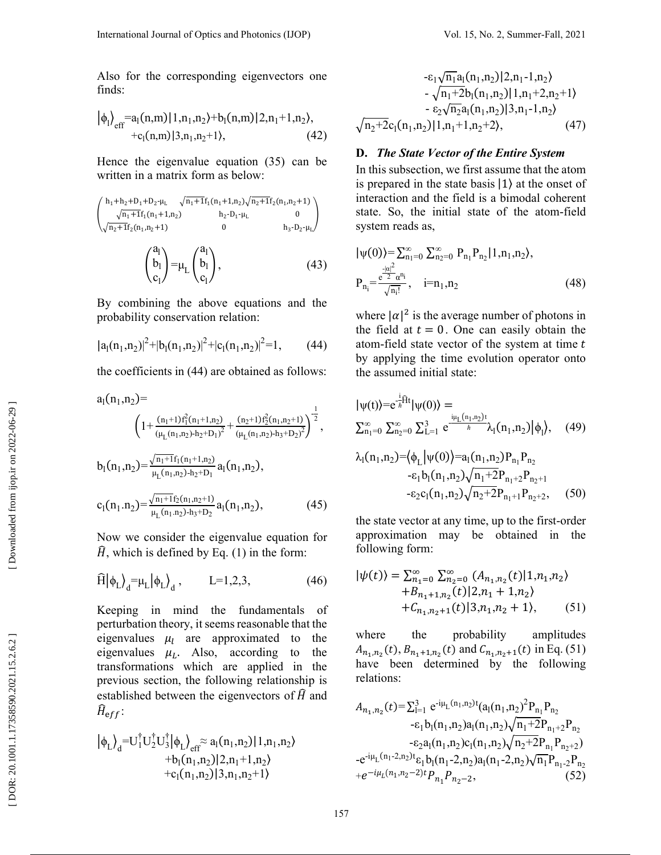Also for the corresponding eigenvectors one finds:

$$
|\phi_{l}\rangle_{\text{eff}} = a_{l}(n,m)|1,n_{1},n_{2}\rangle + b_{l}(n,m)|2,n_{1}+1,n_{2}\rangle, + c_{l}(n,m)|3,n_{1},n_{2}+1\rangle, \qquad (42)
$$

Hence the eigenvalue equation (35) can be written in a matrix form as below:

$$
\begin{pmatrix} h_1 + h_2 + D_1 + D_2 \cdot \mu_L & \sqrt{n_1 + 1} f_1(n_1 + 1, n_2) \sqrt{n_2 + 1} f_2(n_1, n_2 + 1) \\ \sqrt{n_1 + 1} f_1(n_1 + 1, n_2) & h_2 \cdot D_1 \cdot \mu_L & 0 \\ \sqrt{n_2 + 1} f_2(n_1, n_2 + 1) & 0 & h_3 \cdot D_2 \cdot \mu_L \end{pmatrix}
$$

$$
\begin{pmatrix} a_1 \\ b_1 \end{pmatrix} = \mu_L \begin{pmatrix} a_1 \\ b_1 \end{pmatrix}, \tag{43}
$$

By combining the above equations and the probability conservation relation:

 $c<sub>l</sub>$ 

 $c<sub>1</sub>$ 

$$
|a_1(n_1,n_2)|^2 + |b_1(n_1,n_2)|^2 + |c_1(n_1,n_2)|^2 = 1,
$$
 (44)

the coefficients in  $(44)$  are obtained as follows:

$$
a_{1}(n_{1},n_{2}) = \left(1 + \frac{(n_{1}+1) f_{1}^{2}(n_{1}+1, n_{2})}{(\mu_{L}(n_{1},n_{2})-h_{2}+D_{1})^{2}} + \frac{(n_{2}+1) f_{2}^{2}(n_{1},n_{2}+1)}{(\mu_{L}(n_{1},n_{2})-h_{3}+D_{2})^{2}}\right)^{\frac{1}{2}},
$$
  
\n
$$
b_{1}(n_{1},n_{2}) = \frac{\sqrt{n_{1}+1} f_{1}(n_{1}+1, n_{2})}{\mu_{L}(n_{1},n_{2})-h_{2}+D_{1}} a_{1}(n_{1},n_{2}),
$$
  
\n
$$
c_{1}(n_{1}.n_{2}) = \frac{\sqrt{n_{1}+1} f_{2}(n_{1},n_{2}+1)}{\mu_{L}(n_{1}.n_{2})-h_{3}+D_{2}} a_{1}(n_{1},n_{2}),
$$
\n(45)

Now we consider the eigenvalue equation for  $\widehat{H}$ , which is defined by Eq. (1) in the form:

$$
\widehat{H}|\phi_L\rangle_d = \mu_L|\phi_L\rangle_d, \qquad L=1,2,3,\tag{46}
$$

Keeping in mind the fundamentals of perturbation theory, it seems reasonable that the eigenvalues  $\mu_l$  are approximated to the eigenvalues  $\mu_L$ . Also, according to the transformations which are applied in the previous section, the following relationship is established between the eigenvectors of  $\hat{H}$  and  $\widehat{H}_{\text eff}$ :

$$
\begin{aligned} \left|\phi_L\right\rangle_d=&U_1^\dagger U_2^\dagger U_3^\dagger \left|\phi_L\right\rangle_{\text{eff}} \approx a_l(n_1,n_2) |1,n_1,n_2\rangle\\&+b_l(n_1,n_2) |2,n_1+1,n_2\rangle\\&+c_l(n_1,n_2) |3,n_1,n_2+1\rangle \end{aligned}
$$

$$
- \varepsilon_1 \sqrt{n_1 a_1}(n_1, n_2) | 2, n_1 - 1, n_2 \rangle
$$
  
-  $\sqrt{n_1 + 2} b_1(n_1, n_2) | 1, n_1 + 2, n_2 + 1 \rangle$   
-  $\varepsilon_2 \sqrt{n_2} a_1(n_1, n_2) | 3, n_1 - 1, n_2 \rangle$   
 $\sqrt{n_2 + 2} c_1(n_1, n_2) | 1, n_1 + 1, n_2 + 2 \rangle,$  (47)

### **D.** *The State Vector of the Entire System*

In this subsection, we first assume that the atom is prepared in the state basis |1 ⟩ at the onset of interaction and the field is a bimodal coherent state. So, the initial state of the atom-field system reads as,

$$
|\psi(0)\rangle = \sum_{n_1=0}^{\infty} \sum_{n_2=0}^{\infty} P_{n_1} P_{n_2} | 1, n_1, n_2 \rangle,
$$
  
\n
$$
P_{n_1} = \frac{e^{\frac{-|\alpha|^2}{2}} \alpha^{n_1}}{\sqrt{n_1!}}, \quad i=n_1, n_2
$$
\n(48)

where  $|\alpha|^2$  is the average number of photons in the field at  $t = 0$ . One can easily obtain the atom-field state vector of the system at time  $t$ by applying the time evolution operator onto the assumed initial state:

$$
|\psi(t)\rangle = e^{-\frac{i}{\hbar}\hat{H}t} |\psi(0)\rangle = \sum_{n_1=0}^{\infty} \sum_{n_2=0}^{\infty} \sum_{l=1}^{3} e^{-\frac{i\mu_l (n_1, n_2)t}{\hbar}} \lambda_l(n_1, n_2) |\phi_1\rangle, \quad (49)
$$

$$
\lambda_1(n_1, n_2) = \langle \phi_L | \psi(0) \rangle = a_1(n_1, n_2) P_{n_1} P_{n_2}
$$
  
- $\varepsilon_1 b_1(n_1, n_2) \sqrt{n_1 + 2} P_{n_1 + 2} P_{n_2 + 1}$   
- $\varepsilon_2 c_1(n_1, n_2) \sqrt{n_2 + 2} P_{n_1 + 1} P_{n_2 + 2},$  (50)

the state vector at any time, up to the first-order approximation may be obtained in the following form:

$$
|\psi(t)\rangle = \sum_{n_1=0}^{\infty} \sum_{n_2=0}^{\infty} (A_{n_1,n_2}(t)|1,n_1,n_2\rangle + B_{n_1+1,n_2}(t)|2,n_1+1,n_2\rangle + C_{n_1,n_2+1}(t)|3,n_1,n_2+1\rangle, \tag{51}
$$

where the probability amplitudes  $A_{n_1,n_2}(t), B_{n_1+1,n_2}(t)$  and  $C_{n_1,n_2+1}(t)$  in Eq. (51) have been determined by the following relations:

$$
A_{n_1,n_2}(t) = \sum_{l=1}^{3} e^{-i\mu_L(n_1,n_2)t} (a_l(n_1,n_2)^2 P_{n_1} P_{n_2}
$$
  
\n
$$
- \varepsilon_1 b_l(n_1,n_2) a_l(n_1,n_2) \sqrt{n_1 + 2} P_{n_1+2} P_{n_2}
$$
  
\n
$$
- \varepsilon_2 a_l(n_1,n_2) c_l(n_1,n_2) \sqrt{n_2 + 2} P_{n_1} P_{n_2+2}
$$
  
\n
$$
- e^{-i\mu_L(n_1-2,n_2)t} \varepsilon_1 b_l(n_1-2,n_2) a_l(n_1-2,n_2) \sqrt{n_1} P_{n_1-2} P_{n_2}
$$
  
\n
$$
+ e^{-i\mu_L(n_1,n_2-2)t} P_{n_1} P_{n_2-2},
$$
 (52)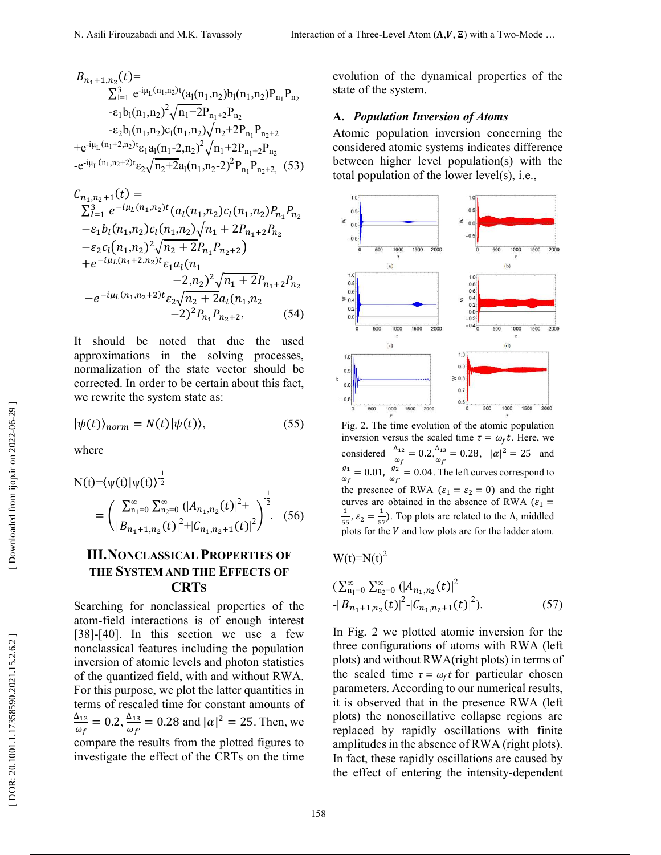$$
B_{n_1+1,n_2}(t) = \sum_{l=1}^{3} e^{-i\mu_L(n_1,n_2)t} (a_1(n_1,n_2)b_1(n_1,n_2)P_{n_1}P_{n_2}
$$
  
\n
$$
- \varepsilon_1 b_1(n_1,n_2)^2 \sqrt{n_1+2}P_{n_1+2}P_{n_2}
$$
  
\n
$$
- \varepsilon_2 b_1(n_1,n_2)c_1(n_1,n_2) \sqrt{n_2+2}P_{n_1}P_{n_2+2}
$$
  
\n
$$
+ e^{-i\mu_L(n_1+2,n_2)t} \varepsilon_1 a_1(n_1-2,n_2)^2 \sqrt{n_1+2}P_{n_1+2}P_{n_2}
$$
  
\n
$$
- e^{-i\mu_L(n_1,n_2+2)t} \varepsilon_2 \sqrt{n_2+2} a_1(n_1,n_2-2)^2 P_{n_1}P_{n_2+2},
$$
 (53)

$$
C_{n_1,n_2+1}(t) =
$$
  
\n
$$
\sum_{l=1}^{3} e^{-i\mu_L(n_1,n_2)t} (a_l(n_1,n_2)c_l(n_1,n_2)P_{n_1}P_{n_2}
$$
  
\n
$$
-\varepsilon_1 b_l(n_1,n_2)c_l(n_1,n_2)\sqrt{n_1+2}P_{n_1+2}P_{n_2}
$$
  
\n
$$
-\varepsilon_2 c_l(n_1,n_2)^2\sqrt{n_2+2}P_{n_1}P_{n_2+2}
$$
  
\n
$$
+e^{-i\mu_L(n_1+2,n_2)t}\varepsilon_1 a_l(n_1 -2,n_2)^2\sqrt{n_1+2}P_{n_1+2}P_{n_2}
$$
  
\n
$$
-e^{-i\mu_L(n_1,n_2+2)t}\varepsilon_2\sqrt{n_2+2}a_l(n_1,n_2 -2)^2P_{n_1}P_{n_2+2},
$$
 (54)

It should be noted that due the used approximations in the solving processes, normalization of the state vector should be corrected. In order to be certain about this fact, we rewrite the system state as:

$$
|\psi(t)\rangle_{norm} = N(t)|\psi(t)\rangle, \tag{55}
$$

where

$$
N(t)=\langle \psi(t) | \psi(t) \rangle^{\frac{1}{2}} \\
= \left( \frac{\sum_{n_1=0}^{\infty} \sum_{n_2=0}^{\infty} (|A_{n_1,n_2}(t)|^2 + \psi(t))^2}{|B_{n_1+1,n_2}(t)|^2 + |C_{n_1,n_2+1}(t)|^2} \right)^{\frac{1}{2}}.
$$
 (56)

# **III. NONCLASSICAL PROPERTIES OF THE SYSTEM AND THE EFFECTS OF CRT S**

Searching for nonclassical properties of the atom-field interactions is of enough interest [38]-[40]. In this section we use a few nonclassical features including the population inversion of atomic levels and photon statistics of the quantized field, with and without RWA. For this purpose, we plot the latter quantities in terms of rescaled time for constant amounts of  $\Delta_{12}$  $\omega_f$  $= 0.2, \frac{\Delta_{13}}{\omega_{\rm s}}$  $\frac{\Delta_{13}}{\omega_f}$  = 0.28 and  $|\alpha|^2$  = 25. Then, we compare the results from the plotted figures to investigate the effect of the CRTs on the time

evolution of the dynamical properties of the state of the system.

#### **A.** *Population Inversion of Atoms*

Atomic population inversion concerning the considered atomic systems indicates difference between higher level population(s) with the total population of the lower level(s), i.e.,



Fig. 2. The time evolution of the atomic population inversion versus the scaled time  $\tau = \omega_f t$ . Here, we considered  $\frac{\Delta_{12}}{2}$  $\frac{\Delta_{12}}{\omega_f} = 0.2, \frac{\Delta_{13}}{\omega_{f'}}$  $\frac{\Delta_{13}}{\omega_f} = 0.28, \ |\alpha|^2 = 25 \text{ and}$  $g_1$  $\frac{g_1}{\omega_f} = 0.01, \frac{g_2}{\omega_f}$  $\frac{g_2}{\omega_f}$  = 0.04. The left curves correspond to the presence of RWA ( $\varepsilon_1 = \varepsilon_2 = 0$ ) and the right curves are obtained in the absence of RWA  $(\varepsilon_1 =$  $\overline{1}$  $\frac{1}{55}$ ,  $\varepsilon_2 = \frac{1}{55}$  $\frac{1}{57}$ ). Top plots are related to the  $\Lambda$ , middled plots for the  $V$  and low plots are for the ladder atom.

 $W(t)=N(t)^2$ 

$$
\left(\sum_{n_1=0}^{\infty} \sum_{n_2=0}^{\infty} (|A_{n_1,n_2}(t)|^2 + |B_{n_1+1,n_2}(t)|^2) - |C_{n_1,n_2+1}(t)|^2\right).
$$
 (57)

In Fig. 2 we plotted atomic inversion for the three configurations of atoms with RWA (left plots) and without RWA(right plots) in terms of the scaled time  $\tau = \omega_f t$  for particular chosen parameters. According to our numerical results, it is observed that in the presence RWA (left plots) the nonoscillative collapse regions are replaced by rapidly oscillations with finite amplitudes in the absence of RWA (right plots). In fact, these rapidly oscillations are caused by the effect of entering the intensity-dependent

Downloaded from ijop.ir on 2022-06-29 ]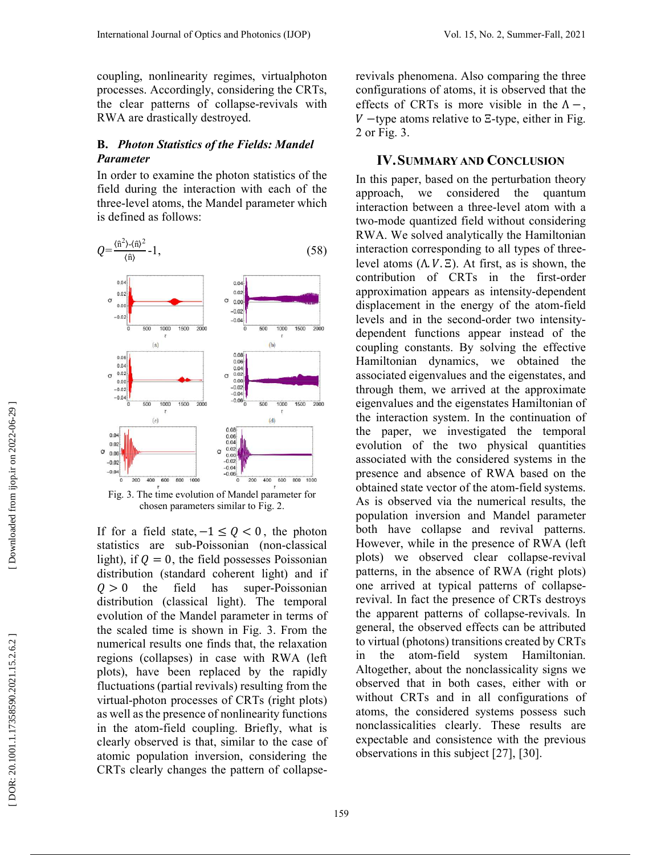coupling, nonlinearity regimes, virtualphoton processes. Accordingly, considering the CRTs, the clear patterns of collapse-revivals with RWA are drastically destroyed.

### **B.** *Photon Statistics of the Fields: Mandel Parameter*

In order to examine the photon statistics of the field during the interaction with each of the three-level atoms, the Mandel parameter which is defined as follows:



chosen parameters similar to Fig. 2.

If for a field state,  $-1 \leq Q < 0$ , the photon statistics are sub-Poissonian (non-classical light), if  $Q = 0$ , the field possesses Poissonian distribution (standard coherent light) and if  $Q > 0$  the field has super-Poissonian distribution (classical light). The temporal evolution of the Mandel parameter in terms of the scaled time is shown in Fig. 3. From the numerical results one finds that, the relaxation regions (collapses) in case with RWA (left plots), have been replaced by the rapidly fluctuations (partial revivals) resulting from the virtual-photon processes of CRTs (right plots) as well as the presence of nonlinearity functions in the atom-field coupling. Briefly, what is clearly observed is that, similar to the case of atomic population inversion, considering the CRTs clearly changes the pattern of collapserevivals phenomena. Also comparing the three configurations of atoms, it is observed that the effects of CRTs is more visible in the  $\Lambda$  –, −type atoms relative to Ξ-type, either in Fig. 2 or Fig. 3.

# **IV. SUMMARY AND CONCLUSION**

In this paper, based on the perturbation theory approach, we considered the quantum interaction between a three-level atom with a two-mode quantized field without considering RWA. We solved analytically the Hamiltonian interaction corresponding to all types of threelevel atoms  $(Λ, V, Ξ)$ . At first, as is shown, the contribution of CRTs in the first-order approximation appears as intensity-dependent displacement in the energy of the atom-field levels and in the second-order two intensitydependent functions appear instead of the coupling constants. By solving the effective Hamiltonian dynamics, we obtained the associated eigenvalues and the eigenstates, and through them, we arrived at the approximate eigenvalues and the eigenstates Hamiltonian of the interaction system. In the continuation of the paper, we investigated the temporal evolution of the two physical quantities associated with the considered systems in the presence and absence of RWA based on the obtained state vector of the atom-field systems. As is observed via the numerical results, the population inversion and Mandel parameter both have collapse and revival patterns. However, while in the presence of RWA (left plots) we observed clear collapse-revival patterns, in the absence of RWA (right plots) one arrived at typical patterns of collapserevival. In fact the presence of CRTs destroys the apparent patterns of collapse-revivals. In general, the observed effects can be attributed to virtual (photons) transitions created by CRTs in the atom-field system Hamiltonian. Altogether, about the nonclassicality signs we observed that in both cases, either with or without CRTs and in all configurations of atoms, the considered systems possess such nonclassicalities clearly. These results are expectable and consistence with the previous observations in this subject [27], [30].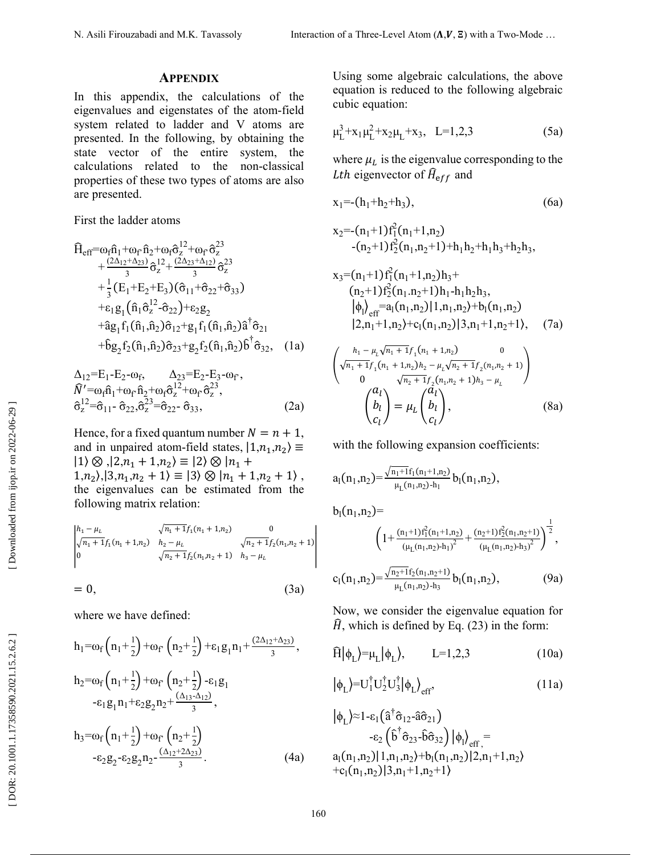### **APPENDIX**

In this appendix, the calculations of the eigenvalues and eigenstates of the atom-field system related to ladder and V atoms are presented. In the following, by obtaining the state vector of the entire system, the calculations related to the non-classical properties of these two types of atoms are also are presented.

First the ladder atoms

$$
\hat{H}_{eff} = \omega_f \hat{n}_1 + \omega_f \hat{n}_2 + \omega_f \hat{\sigma}_z^{12} + \omega_f \hat{\sigma}_z^{23} \n+ \frac{(2\Delta_{12} + \Delta_{23})}{3} \hat{\sigma}_z^{12} + \frac{(2\Delta_{23} + \Delta_{12})}{3} \hat{\sigma}_z^{23} \n+ \frac{1}{3} (E_1 + E_2 + E_3) (\hat{\sigma}_{11} + \hat{\sigma}_{22} + \hat{\sigma}_{33}) \n+ \varepsilon_1 g_1 (\hat{n}_1 \hat{\sigma}_z^{12} - \hat{\sigma}_{22}) + \varepsilon_2 g_2 \n+ \hat{a} g_1 f_1 (\hat{n}_1, \hat{n}_2) \hat{\sigma}_{12} + g_1 f_1 (\hat{n}_1, \hat{n}_2) \hat{a}^\dagger \hat{\sigma}_{21} \n+ \hat{b} g_2 f_2 (\hat{n}_1, \hat{n}_2) \hat{\sigma}_{23} + g_2 f_2 (\hat{n}_1, \hat{n}_2) \hat{b}^\dagger \hat{\sigma}_{32}, \quad (1a)
$$

$$
\Delta_{12} = E_1 - E_2 - \omega_f, \qquad \Delta_{23} = E_2 - E_3 - \omega_f, \n\hat{N}' = \omega_f \hat{n}_1 + \omega_f \hat{n}_2 + \omega_f \hat{\sigma}_z^{12} + \omega_f \hat{\sigma}_z^{23}, \n\hat{\sigma}_z^{12} = \hat{\sigma}_{11} - \hat{\sigma}_{22}, \hat{\sigma}_z^{23} = \hat{\sigma}_{22} - \hat{\sigma}_{33},
$$
\n(2a)

Hence, for a fixed quantum number  $N = n + 1$ , and in unpaired atom-field states,  $|1,n_1,n_2\rangle \equiv$  $|1\rangle \otimes |2,n_1+1,n_2\rangle \equiv |2\rangle \otimes |n_1+$  $1, n_2$ ,  $|3, n_1, n_2 + 1\rangle \equiv |3\rangle \otimes |n_1 + 1, n_2 + 1\rangle$ , the eigenvalues can be estimated from the following matrix relation:

$$
\begin{vmatrix} h_1 - \mu_L & \sqrt{n_1 + 1} f_1(n_1 + 1, n_2) & 0 \\ \sqrt{n_1 + 1} f_1(n_1 + 1, n_2) & h_2 - \mu_L & \sqrt{n_2 + 1} f_2(n_1, n_2 + 1) \\ 0 & \sqrt{n_2 + 1} f_2(n_1, n_2 + 1) & h_3 - \mu_L \end{vmatrix}
$$

$$
= 0, \t\t(3a)
$$

where we have defined:

$$
h_1 = \omega_f \left( n_1 + \frac{1}{2} \right) + \omega_f \left( n_2 + \frac{1}{2} \right) + \varepsilon_1 g_1 n_1 + \frac{(2\Delta_{12} + \Delta_{23})}{3},
$$
  
\n
$$
h_2 = \omega_f \left( n_1 + \frac{1}{2} \right) + \omega_f \left( n_2 + \frac{1}{2} \right) - \varepsilon_1 g_1
$$
  
\n
$$
- \varepsilon_1 g_1 n_1 + \varepsilon_2 g_2 n_2 + \frac{(\Delta_{13} - \Delta_{12})}{3},
$$
  
\n
$$
h_3 = \omega_f \left( n_1 + \frac{1}{2} \right) + \omega_f \left( n_2 + \frac{1}{2} \right)
$$
  
\n
$$
- \varepsilon_2 g_2 - \varepsilon_2 g_2 n_2 - \frac{(\Delta_{12} + 2\Delta_{23})}{3}.
$$
  
\n(4a)

Using some algebraic calculations, the above equation is reduced to the following algebraic cubic equation:

$$
\mu_L^3 + x_1 \mu_L^2 + x_2 \mu_L + x_3, \quad L = 1, 2, 3 \tag{5a}
$$

where  $\mu_L$  is the eigenvalue corresponding to the *Lth* eigenvector of  $H_{\text{eff}}$  and

$$
x_1 = -(h_1 + h_2 + h_3), \tag{6a}
$$

$$
x_2 = -(n_1+1) f_1^2(n_1+1, n_2)
$$
  
- $(n_2+1) f_2^2(n_1, n_2+1)+h_1h_2+h_1h_3+h_2h_3,$ 

$$
x_3=(n_1+1)f_1^2(n_1+1,n_2)h_3+
$$
  
\n
$$
(n_2+1)f_2^2(n_1.n_2+1)h_1-h_1h_2h_3,
$$
  
\n
$$
|\phi_1\rangle_{\text{eff}}=a_1(n_1,n_2)|1,n_1,n_2\rangle+b_1(n_1,n_2)
$$
  
\n
$$
|2,n_1+1,n_2\rangle+c_1(n_1,n_2)|3,n_1+1,n_2+1\rangle,
$$
 (7a)

$$
\begin{pmatrix}\nh_1 - \mu_l \sqrt{n_1 + 1} f_1(n_1 + 1, n_2) & 0 \\
\sqrt{n_1 + 1} f_1(n_1 + 1, n_2) h_2 - \mu_l \sqrt{n_2 + 1} f_2(n_1, n_2 + 1) \\
0 & \sqrt{n_2 + 1} f_2(n_1, n_2 + 1) h_3 - \mu_l\n\end{pmatrix}
$$
\n
$$
\begin{pmatrix}\na_l \\
b_l \\
c_l\n\end{pmatrix} = \mu_L \begin{pmatrix}\na_l \\
b_l \\
c_l\n\end{pmatrix},
$$
\n(8a)

with the following expansion coefficients:  
\n
$$
a_1(n_1,n_2) = \frac{\sqrt{n_1+1}f_1(n_1+1,n_2)}{\mu_L(n_1,n_2)-h_1} b_1(n_1,n_2),
$$

$$
b_{1}(n_{1},n_{2}) = \left(1 + \frac{(n_{1}+1) f_{1}^{2}(n_{1}+1,n_{2})}{(\mu_{L}(n_{1},n_{2})-h_{1})^{2}} + \frac{(n_{2}+1) f_{2}^{2}(n_{1},n_{2}+1)}{(\mu_{L}(n_{1},n_{2})-h_{3})^{2}}\right)^{\frac{1}{2}},
$$
  

$$
c_{1}(n_{1},n_{2}) = \frac{\sqrt{n_{2}+1} f_{2}(n_{1},n_{2}+1)}{\mu_{L}(n_{1},n_{2})-h_{3}} b_{1}(n_{1},n_{2}),
$$
 (9a)

Now, we consider the eigenvalue equation for  $\hat{H}$ , which is defined by Eq. (23) in the form:<br> $\hat{H}|\phi_x\rangle=u_x|\phi_x\rangle$ , L=1,2,3 (10

$$
\widehat{H}|\phi_L\rangle = \mu_L|\phi_L\rangle, \qquad L=1,2,3 \tag{10a}
$$

$$
\left|\phi_{\mathcal{L}}\right\rangle = U_{1}^{\dagger}U_{2}^{\dagger}U_{3}^{\dagger}\left|\phi_{\mathcal{L}}\right\rangle_{\text{eff}},\tag{11a}
$$

$$
|\phi_L\rangle \approx 1 - \varepsilon_1 (\hat{a}^\dagger \hat{\sigma}_{12} - \hat{a} \hat{\sigma}_{21})
$$
  
\n
$$
- \varepsilon_2 (\hat{b}^\dagger \hat{\sigma}_{23} - \hat{b} \hat{\sigma}_{32}) |\phi_1\rangle_{eff} =
$$
  
\n
$$
a_1(n_1, n_2) | 1, n_1, n_2\rangle + b_1(n_1, n_2) | 2, n_1 + 1, n_2\rangle
$$
  
\n
$$
+ c_1(n_1, n_2) | 3, n_1 + 1, n_2 + 1\rangle
$$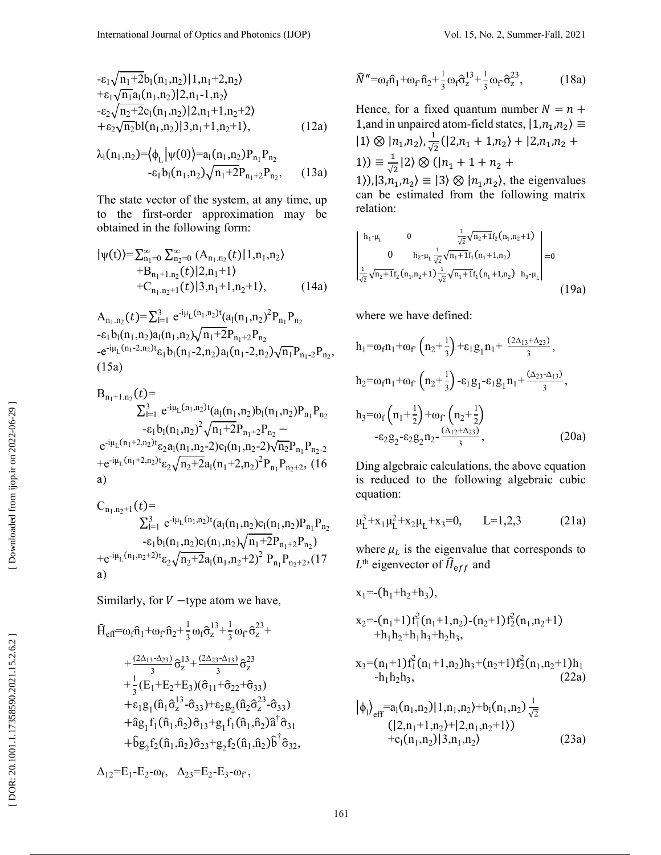$$
- \varepsilon_1 \sqrt{n_1 + 2b_1(n_1, n_2)} | 1, n_1 + 2, n_2 \rangle
$$
  
+  $\varepsilon_1 \sqrt{n_1 a_1(n_1, n_2)} | 2, n_1 - 1, n_2 \rangle$   
-  $\varepsilon_2 \sqrt{n_2 + 2c_1(n_1, n_2)} | 2, n_1 + 1, n_2 + 2 \rangle$   
+  $\varepsilon_2 \sqrt{n_2 b_1(n_1, n_2)} | 3, n_1 + 1, n_2 + 1 \rangle$ , (12a)

$$
\lambda_1(n_1, n_2) = \langle \phi_L | \psi(0) \rangle = a_1(n_1, n_2) P_{n_1} P_{n_2}
$$
  
- $\varepsilon_1 b_1(n_1, n_2) \sqrt{n_1 + 2} P_{n_1 + 2} P_{n_2},$  (13a)

The state vector of the system, at any time, up to the first-order approximation may be obtained in the following form:

$$
|\psi(t)\rangle = \sum_{n_1=0}^{\infty} \sum_{n_2=0}^{\infty} (A_{n_1,n_2}(t)|1,n_1,n_2\rangle
$$
  
+B<sub>n\_1+1,n\_2</sub>(t)|2,n\_1+1\rangle  
+C<sub>n\_1,n\_2+1</sub>(t)|3,n\_1+1,n\_2+1\rangle, (14a)

 $A_{n_1,n_2}(t) = \sum_{l=1}^3 e^{-i\mu_L(n_1,n_2)t} (a_l(n_1,n_2)^2 P_{n_1} P_{n_2})$  $-\varepsilon_1 b_1(n_1, n_2) a_1(n_1, n_2) \sqrt{n_1+2P_{n_1+2}P_{n_2}}$  $-e^{-i\mu_L(n_1-2,n_2)t}\varepsilon_1 b_1(n_1-2,n_2)a_1(n_1-2,n_2)\sqrt{n_1}P_{n_1-2}P_{n_2},$  $(15a)$ 

B<sub>n<sub>1</sub>+1,n<sub>2</sub></sub>(t)=  
\n
$$
\sum_{l=1}^{3} e^{-i\mu_{L}(n_{1},n_{2})t} (a_{l}(n_{1},n_{2})b_{l}(n_{1},n_{2})P_{n_{1}}P_{n_{2}} -\epsilon_{l} b_{l}(n_{1},n_{2})^{2} \sqrt{n_{1}+2}P_{n_{1}+2}P_{n_{2}} -
$$
\n
$$
e^{-i\mu_{L}(n_{1}+2,n_{2})t} \epsilon_{2} a_{l}(n_{1},n_{2}-2)c_{l}(n_{1},n_{2}-2)\sqrt{n_{2}}P_{n_{1}}P_{n_{2}-2} +e^{-i\mu_{L}(n_{1}+2,n_{2})t} \epsilon_{2} \sqrt{n_{2}+2} a_{l}(n_{1}+2,n_{2})^{2}P_{n_{1}}P_{n_{2}+2}, (16\na)
$$
\nC<sub>n<sub>1</sub>,n<sub>2</sub>+1</sub>(t)=

$$
C_{n_1,n_2+1}(t)=\sum_{l=1}^{3} e^{-i\mu_L(n_1,n_2)t}(a_l(n_1,n_2)c_l(n_1,n_2)P_{n_1}P_{n_2}\n\begin{array}{l}-\varepsilon_l b_l(n_1,n_2)c_l(n_1,n_2)\sqrt{n_1+2}P_{n_1+2}P_{n_2}\n\end{array}\n+e^{-i\mu_L(n_1,n_2+2)t}\varepsilon_2\sqrt{n_2+2}a_l(n_1,n_2+2)^2 P_{n_1}P_{n_2+2}, (17\na)
$$

Similarly, for  $V$  -type atom we have,

$$
\begin{aligned}\n\hat{H}_{eff}=& \omega_f \hat{n}_1 + \omega_f \hat{n}_2 + \frac{1}{3} \omega_f \hat{\sigma}_z^{13} + \frac{1}{3} \omega_f \hat{\sigma}_z^{23} + \\
&+ \frac{(2\Delta_{13} - \Delta_{23})}{3} \hat{\sigma}_z^{13} + \frac{(2\Delta_{23} - \Delta_{13})}{3} \hat{\sigma}_z^{23} \\
&+ \frac{1}{3} (E_1 + E_2 + E_3)(\hat{\sigma}_{11} + \hat{\sigma}_{22} + \hat{\sigma}_{33}) \\
&+ \epsilon_1 g_1 (\hat{n}_1 \hat{\sigma}_z^{13} - \hat{\sigma}_{33}) + \epsilon_2 g_2 (\hat{n}_2 \hat{\sigma}_z^{23} - \hat{\sigma}_{33}) \\
&+ \hat{a} g_1 f_1 (\hat{n}_1, \hat{n}_2) \hat{\sigma}_{13} + g_1 f_1 (\hat{n}_1, \hat{n}_2) \hat{a}^\dagger \hat{\sigma}_{31} \\
&+ \hat{b} g_2 f_2 (\hat{n}_1, \hat{n}_2) \hat{\sigma}_{23} + g_2 f_2 (\hat{n}_1, \hat{n}_2) \hat{b}^\dagger \hat{\sigma}_{32},\n\end{aligned}
$$

$$
\Delta_{12} = E_1 - E_2 - \omega_f, \quad \Delta_{23} = E_2 - E_3 - \omega_f,
$$

$$
\widehat{N}'' = \omega_f \widehat{n}_1 + \omega_f \widehat{n}_2 + \frac{1}{3} \omega_f \widehat{\sigma}_z^{13} + \frac{1}{3} \omega_f \widehat{\sigma}_z^{23}, \qquad (18a)
$$

Hence, for a fixed quantum number  $N = n +$ 1, and in unpaired atom-field states,  $|1,n_1,n_2\rangle \equiv$  $|1\rangle \otimes |n_1,n_2\rangle, \frac{1}{\sqrt{2}}(|2,n_1+1,n_2\rangle+|2,n_1,n_2+$ 1)  $\equiv \frac{1}{\sqrt{2}} |2\rangle \otimes (|n_1 + 1 + n_2 +$ 1)), $|3,n_1,n_2\rangle \equiv |3\rangle \otimes |n_1,n_2\rangle$ , the eigenvalues

can be estimated from the following matrix relation:

$$
\begin{vmatrix}\nh_1 - \mu_L & 0 & \frac{1}{\sqrt{2}} \sqrt{n_2 + 1} f_2(n_1, n_2 + 1) \\
0 & h_2 - \mu_L \frac{1}{\sqrt{2}} \sqrt{n_1 + 1} f_1(n_1 + 1, n_2) \\
\frac{1}{\sqrt{2}} \sqrt{n_2 + 1} f_2(n_1, n_2 + 1) \frac{1}{\sqrt{2}} \sqrt{n_1 + 1} f_1(n_1 + 1, n_2) & h_3 - \mu_L\n\end{vmatrix} = 0
$$
\n(19a)

where we have defined:

$$
h_1 = \omega_f n_1 + \omega_f \left( n_2 + \frac{1}{3} \right) + \varepsilon_1 g_1 n_1 + \frac{(2\Delta_{13} + \Delta_{23})}{3},
$$
  
\n
$$
h_2 = \omega_f n_1 + \omega_f \left( n_2 + \frac{1}{3} \right) - \varepsilon_1 g_1 - \varepsilon_1 g_1 n_1 + \frac{(\Delta_{23} - \Delta_{13})}{3},
$$
  
\n
$$
h_3 = \omega_f \left( n_1 + \frac{1}{2} \right) + \omega_f \left( n_2 + \frac{1}{2} \right)
$$
  
\n
$$
- \varepsilon_2 g_2 - \varepsilon_2 g_2 n_2 - \frac{(\Delta_{12} + \Delta_{23})}{3},
$$
  
\n(20a)

Ding algebraic calculations, the above equation is reduced to the following algebraic cubic equation:

$$
\mu_L^3 + x_1 \mu_L^2 + x_2 \mu_L + x_3 = 0, \qquad L = 1, 2, 3 \tag{21a}
$$

where  $\mu_L$  is the eigenvalue that corresponds to  $L^{\text{th}}$  eigenvector of  $\widehat{H}_{\text{eff}}$  and

$$
x_1 = -(h_1 + h_2 + h_3),
$$
  
\n
$$
x_2 = -(n_1 + 1) f_1^2(n_1 + 1, n_2) - (n_2 + 1) f_2^2(n_1, n_2 + 1)
$$
  
\n
$$
+ h_1 h_2 + h_1 h_3 + h_2 h_3,
$$
  
\n
$$
x_3 = (n_1 + 1) f_1^2(n_1 + 1, n_2) h_3 + (n_2 + 1) f_2^2(n_1, n_2 + 1) h_1
$$
  
\n
$$
- h_1 h_2 h_3,
$$
  
\n
$$
|\phi_1\rangle_{eff} = a_1(n_1, n_2) |1, n_1, n_2\rangle + b_1(n_1, n_2) \frac{1}{\sqrt{2}}
$$
  
\n
$$
(|2, n_1 + 1, n_2\rangle + |2, n_1, n_2 + 1\rangle)
$$
  
\n
$$
+ c_1(n_1, n_2) |3, n_1, n_2\rangle
$$
  
\n(23a)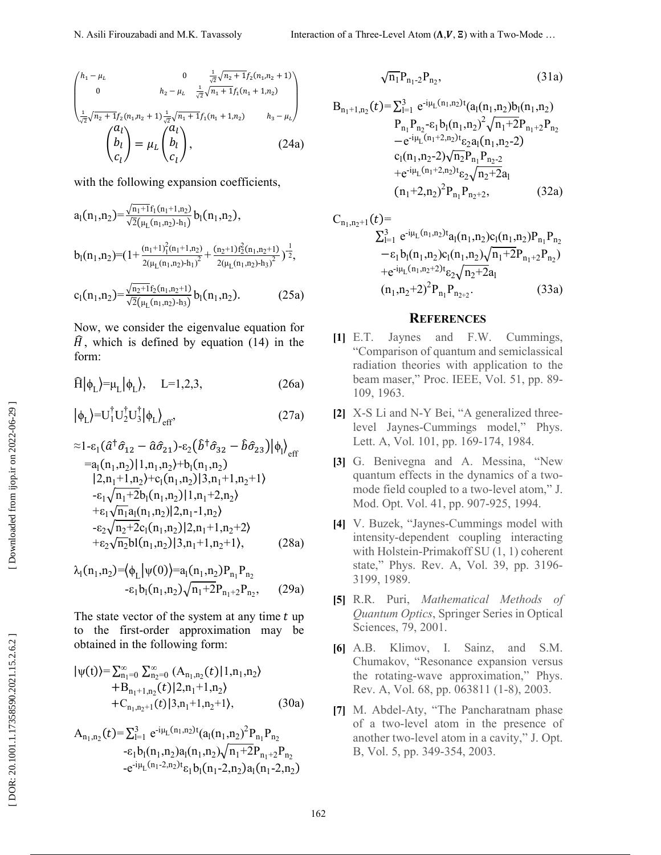$$
\begin{pmatrix}\nh_1 - \mu_L & 0 & \frac{1}{\sqrt{2}}\sqrt{n_2 + 1}f_2(n_1, n_2 + 1) \\
0 & h_2 - \mu_L & \frac{1}{\sqrt{2}}\sqrt{n_1 + 1}f_1(n_1 + 1, n_2) \\
\frac{1}{\sqrt{2}}\sqrt{n_2 + 1}f_2(n_1, n_2 + 1) \frac{1}{\sqrt{2}}\sqrt{n_1 + 1}f_1(n_1 + 1, n_2) & h_3 - \mu_L\n\end{pmatrix}
$$
\n
$$
\begin{pmatrix}\na_l \\
b_l \\
c_l\n\end{pmatrix} = \mu_L \begin{pmatrix}\na_l \\
b_l \\
c_l\n\end{pmatrix},
$$
\n(24a)

with the following expansion coefficients,

$$
a_1(n_1, n_2) = \frac{\sqrt{n_1+1} f_1(n_1+1, n_2)}{\sqrt{2} (\mu_L(n_1, n_2) - h_1)} b_1(n_1, n_2),
$$
  

$$
b_1(n_1, n_2) = (1 + \frac{(n_1+1)^2_1(n_1+1, n_2)}{2(\mu_L(n_1, n_2) - h_1)^2} + \frac{(n_2+1) f_2^2(n_1, n_2+1)}{2(\mu_L(n_1, n_2) - h_3)^2})^{-\frac{1}{2}},
$$

$$
c_1(n_1,n_2) = \frac{\sqrt{n_2+1}f_2(n_1,n_2+1)}{\sqrt{2}(\mu_L(n_1,n_2)-h_3)} b_1(n_1,n_2).
$$
 (25a)

Now, we consider the eigenvalue equation for  $\hat{H}$ , which is defined by equation (14) in the form:

$$
\widehat{H}|\phi_L\rangle \text{=}\mu_L|\phi_L\rangle, \quad L=1,2,3, \tag{26a}
$$

$$
\left|\phi_{L}\right\rangle = U_{1}^{\dagger}U_{2}^{\dagger}U_{3}^{\dagger}\left|\phi_{L}\right\rangle _{\text{eff}},\tag{27a}
$$

$$
\begin{aligned}\n&\approx 1 - \varepsilon_1 (\hat{a}^\dagger \hat{\sigma}_{12} - \hat{a} \hat{\sigma}_{21}) - \varepsilon_2 (\hat{b}^\dagger \hat{\sigma}_{32} - \hat{b} \hat{\sigma}_{23}) |\phi_1\rangle_{\text{eff}} \\
&= a_1 (n_1, n_2) | 1, n_1, n_2\rangle + b_1 (n_1, n_2) \\
&| 2, n_1 + 1, n_2\rangle + c_1 (n_1, n_2) | 3, n_1 + 1, n_2 + 1\rangle \\
&- \varepsilon_1 \sqrt{n_1 + 2} b_1 (n_1, n_2) | 1, n_1 + 2, n_2\rangle \\
&+ \varepsilon_1 \sqrt{n_1} a_1 (n_1, n_2) | 2, n_1 - 1, n_2\rangle \\
&- \varepsilon_2 \sqrt{n_2 + 2} c_1 (n_1, n_2) | 3, n_1 + 1, n_2 + 2\rangle \\
&+ \varepsilon_2 \sqrt{n_2} b_1 (n_1, n_2) | 3, n_1 + 1, n_2 + 1\rangle,\n\end{aligned} \tag{28a}
$$

$$
\lambda_1(n_1, n_2) = \left\langle \phi_L \middle| \psi(0) \right\rangle = a_1(n_1, n_2) P_{n_1} P_{n_2}
$$
  
-\varepsilon\_1 b\_1(n\_1, n\_2) \sqrt{n\_1 + 2} P\_{n\_1 + 2} P\_{n\_2}, (29a)

The state vector of the system at any time  $t$  up to the first-order approximation may be obtained in the following form:

$$
|\psi(t)\rangle = \sum_{n_1=0}^{\infty} \sum_{n_2=0}^{\infty} (A_{n_1,n_2}(t)|1,n_1,n_2\rangle
$$
  
+B\_{n\_1+1,n\_2}(t)|2,n\_1+1,n\_2\rangle  
+C\_{n\_1,n\_2+1}(t)|3,n\_1+1,n\_2+1\rangle, (30a)

$$
A_{n_1,n_2}(t) = \sum_{i=1}^{3} e^{-i\mu_L(n_1,n_2)t} (a_1(n_1,n_2)^2 P_{n_1} P_{n_2}
$$
  
\n
$$
- \varepsilon_1 b_1(n_1,n_2) a_1(n_1,n_2) \sqrt{n_1+2} P_{n_1+2} P_{n_2}
$$
  
\n
$$
- e^{-i\mu_L(n_1-2,n_2)t} \varepsilon_1 b_1(n_1-2,n_2) a_1(n_1-2,n_2)
$$

$$
\sqrt{n_1} P_{n_1-2} P_{n_2},\tag{31a}
$$

$$
B_{n_1+1,n_2}(t) = \sum_{l=1}^{3} e^{-i\mu_L(n_1,n_2)t} (a_1(n_1,n_2)b_1(n_1,n_2)
$$
  
\n
$$
P_{n_1}P_{n_2}-\varepsilon_1 b_1(n_1,n_2)^2 \sqrt{n_1+2}P_{n_1+2}P_{n_2}
$$
  
\n
$$
-e^{-i\mu_L(n_1+2,n_2)t} \varepsilon_2 a_1(n_1,n_2-2)
$$
  
\n
$$
c_1(n_1,n_2-2)\sqrt{n_2}P_{n_1}P_{n_2-2}
$$
  
\n
$$
+e^{-i\mu_L(n_1+2,n_2)t} \varepsilon_2 \sqrt{n_2+2}a_1
$$
  
\n
$$
(n_1+2,n_2)^2 P_{n_1}P_{n_2+2},
$$
 (32a)

$$
C_{n_1,n_2+1}(t)=\sum_{l=1}^{3} e^{-i\mu_L(n_1,n_2)t} a_l(n_1,n_2)c_l(n_1,n_2)P_{n_1}P_{n_2}
$$
  
\n
$$
- \varepsilon_1 b_l(n_1,n_2)c_l(n_1,n_2)\sqrt{n_1+2}P_{n_1+2}P_{n_2}
$$
  
\n
$$
+ e^{-i\mu_L(n_1,n_2+2)t} \varepsilon_2 \sqrt{n_2+2}a_l
$$
  
\n
$$
(n_1,n_2+2)^2 P_{n_1}P_{n_2+2}.
$$
 (33a)

#### **REFERENCES**

- **[1]** E.T. Jaynes and F.W. Cummings, "Comparison of quantum and semiclassical radiation theories with application to the beam maser," Proc. IEEE, Vol. 51, pp. 89- 109, 1963.
- **[2]** X-S Li and N-Y Bei, "A generalized threelevel Jaynes-Cummings model," Phys. Lett. A, Vol. 101, pp. 169-174, 1984.
- **[3]** G. Benivegna and A. Messina, "New quantum effects in the dynamics of a twomode field coupled to a two-level atom," J. Mod. Opt. Vol. 41, pp. 907-925, 1994.
- **[4]** V. Buzek, "Jaynes-Cummings model with intensity-dependent coupling interacting with Holstein-Primakoff SU (1, 1) coherent state," Phys. Rev. A, Vol. 39, pp. 3196- 3199, 1989.
- **[5]** R.R. Puri, *Mathematical Methods of Quantum Optics*, Springer Series in Optical Sciences, 79, 2001.
- **[6]** A.B. Klimov, I. Sainz, and S.M. Chumakov, "Resonance expansion versus the rotating-wave approximation," Phys. Rev. A, Vol. 68, pp. 063811 (1-8), 2003.
- **[7]** M. Abdel-Aty, "The Pancharatnam phase of a two-level atom in the presence of another two-level atom in a cavity," J. Opt. B, Vol. 5, pp. 349-354, 2003.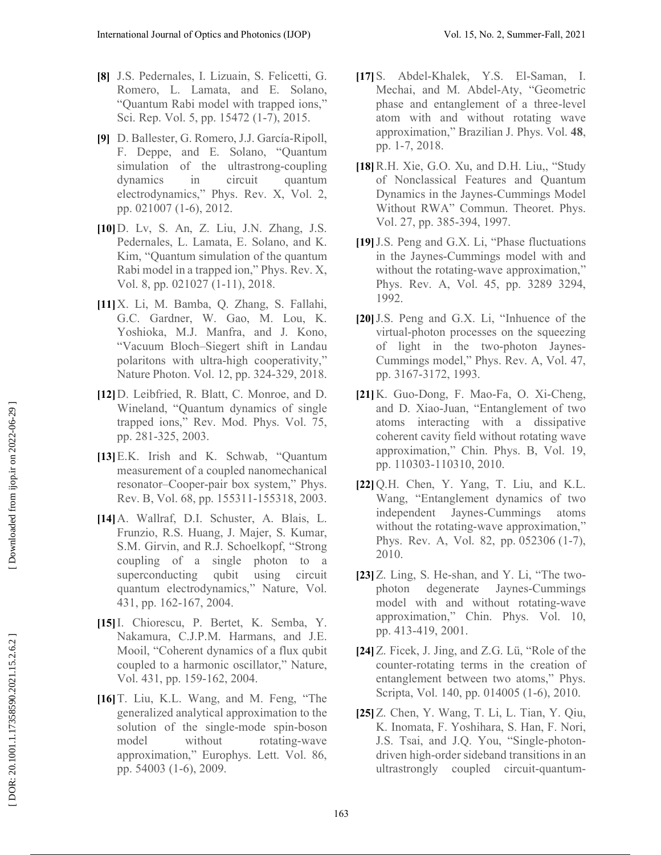- **[8]** J.S. Pedernales, I. Lizuain, S. Felicetti, G. Romero, L. Lamata, and E. Solano, "Quantum Rabi model with trapped ions," Sci. Rep. Vol. 5, pp. 15472 (1-7), 2015.
- **[9]** D. Ballester, G. Romero, J.J. García-Ripoll, F. Deppe, and E. Solano, "Quantum simulation of the ultrastrong-coupling dynamics in circuit quantum electrodynamics," Phys. Rev. X, Vol. 2, pp. 021007 (1-6), 2012.
- **[10]**D. Lv, S. An, Z. Liu, J.N. Zhang, J.S. Pedernales, L. Lamata, E. Solano, and K. Kim, "Quantum simulation of the quantum Rabi model in a trapped ion," Phys. Rev. X, Vol. 8, pp. 021027 (1-11), 2018.
- **[11]**X. Li, M. Bamba, Q. Zhang, S. Fallahi, G.C. Gardner, W. Gao, M. Lou, K. Yoshioka, M.J. Manfra, and J. Kono, "Vacuum Bloch–Siegert shift in Landau polaritons with ultra-high cooperativity," Nature Photon. Vol. 12, pp. 324-329, 2018.
- **[12]**D. Leibfried, R. Blatt, C. Monroe, and D. Wineland, "Quantum dynamics of single trapped ions," Rev. Mod. Phys. Vol. 75, pp. 281-325, 2003.
- **[13]**E.K. Irish and K. Schwab, "Quantum measurement of a coupled nanomechanical resonator–Cooper-pair box system," Phys. Rev. B, Vol. 68, pp. 155311-155318, 2003.
- **[14]**A. Wallraf, D.I. Schuster, A. Blais, L. Frunzio, R.S. Huang, J. Majer, S. Kumar, S.M. Girvin, and R.J. Schoelkopf, "Strong coupling of a single photon to a superconducting qubit using circuit quantum electrodynamics," Nature, Vol. 431, pp. 162-167, 2004.
- **[15]**I. Chiorescu, P. Bertet, K. Semba, Y. Nakamura, C.J.P.M. Harmans, and J.E. Mooil, "Coherent dynamics of a flux qubit coupled to a harmonic oscillator," Nature, Vol. 431, pp. 159-162, 2004.
- **[16]**T. Liu, K.L. Wang, and M. Feng, "The generalized analytical approximation to the solution of the single-mode spin-boson model without rotating-wave approximation," Europhys. Lett. Vol. 86, pp. 54003 (1-6), 2009.
- **[17]**S. Abdel-Khalek, Y.S. El-Saman, I. Mechai, and M. Abdel-Aty, "Geometric phase and entanglement of a three-level atom with and without rotating wave approximation," Brazilian J. Phys. Vol. **48**, pp. 1-7, 2018.
- **[18]**R.H. Xie, G.O. Xu, and D.H. Liu,, "Study of Nonclassical Features and Quantum Dynamics in the Jaynes-Cummings Model Without RWA" Commun. Theoret. Phys. Vol. 27, pp. 385-394, 1997.
- **[19]**J.S. Peng and G.X. Li, "Phase fluctuations in the Jaynes-Cummings model with and without the rotating-wave approximation," Phys. Rev. A, Vol. 45, pp. 3289 3294, 1992.
- **[20]**J.S. Peng and G.X. Li, "Inhuence of the virtual-photon processes on the squeezing of light in the two-photon Jaynes-Cummings model," Phys. Rev. A, Vol. 47, pp. 3167-3172, 1993.
- **[21]**K. Guo-Dong, F. Mao-Fa, O. Xi-Cheng, and D. Xiao-Juan, "Entanglement of two atoms interacting with a dissipative coherent cavity field without rotating wave approximation," Chin. Phys. B, Vol. 19, pp. 110303-110310, 2010.
- **[22]**Q.H. Chen, Y. Yang, T. Liu, and K.L. Wang, "Entanglement dynamics of two independent Jaynes-Cummings atoms without the rotating-wave approximation," Phys. Rev. A, Vol. 82, pp. 052306 (1-7), 2010.
- **[23]**Z. Ling, S. He-shan, and Y. Li, "The twophoton degenerate Jaynes-Cummings model with and without rotating-wave approximation," Chin. Phys. Vol. 10, pp. 413-419, 2001.
- **[24]**Z. Ficek, J. Jing, and Z.G. Lü, "Role of the counter-rotating terms in the creation of entanglement between two atoms," Phys. Scripta, Vol. 140, pp. 014005 (1-6), 2010.
- **[25]**Z. Chen, Y. Wang, T. Li, L. Tian, Y. Qiu, K. Inomata, F. Yoshihara, S. Han, F. Nori, J.S. Tsai, and J.Q. You, "Single-photondriven high-order sideband transitions in an ultrastrongly coupled circuit-quantum-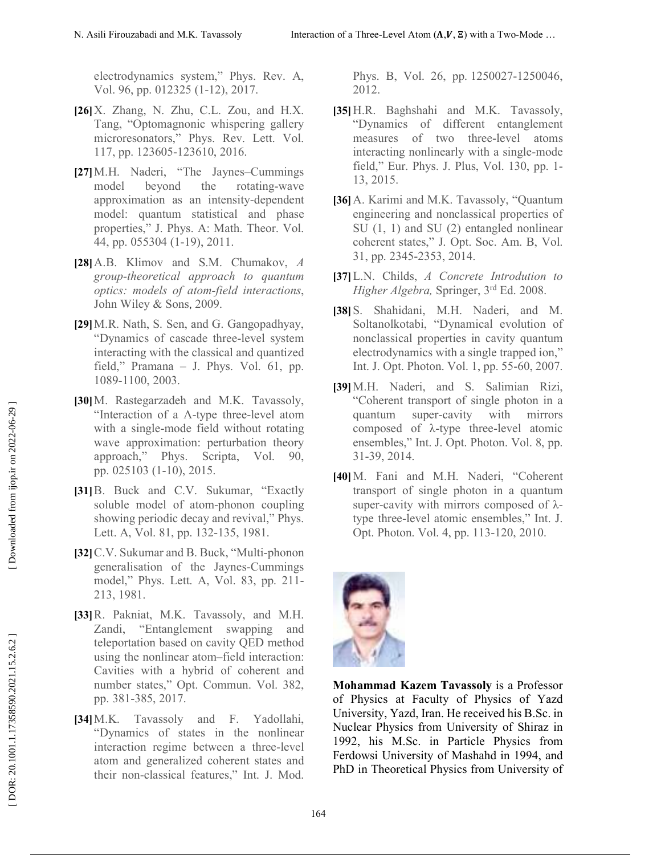electrodynamics system," Phys. Rev. A, Vol. 96, pp. 012325 (1-12), 2017.

- **[26]**X. Zhang, N. Zhu, C.L. Zou, and H.X. Tang, "Optomagnonic whispering gallery microresonators," Phys. Rev. Lett. Vol. 117, pp. 123605-123610, 2016.
- **[27]**M.H. Naderi, "The Jaynes–Cummings model beyond the rotating-wave approximation as an intensity-dependent model: quantum statistical and phase properties," J. Phys. A: Math. Theor. Vol. 44, pp. 055304 (1-19), 2011.
- **[28]**A.B. Klimov and S.M. Chumakov, *A group-theoretical approach to quantum optics: models of atom-field interactions*, John Wiley & Sons , 2009.
- **[29]**M.R. Nath, S. Sen, and G. Gangopadhyay, "Dynamics of cascade three-level system interacting with the classical and quantized field," Pramana – J. Phys. Vol. 61, pp. 1089-1100, 2003.
- **[30]**M. Rastegarzadeh and M.K. Tavassoly, "Interaction of a Λ-type three-level atom with a single-mode field without rotating wave approximation: perturbation theory approach," Phys. Scripta, Vol. 90, pp. 025103 (1-10), 2015.
- **[31]**B. Buck and C.V. Sukumar, "Exactly soluble model of atom-phonon coupling showing periodic decay and revival," Phys. Lett. A, Vol. 81, pp. 132-135, 1981.
- **[32]**C.V. Sukumar and B. Buck, "Multi-phonon generalisation of the Jaynes-Cummings model," Phys. Lett. A, Vol. 83, pp. 211- 213, 1981.
- **[33]**R. Pakniat, M.K. Tavassoly, and M.H. Zandi, "Entanglement swapping and teleportation based on cavity QED method using the nonlinear atom–field interaction: Cavities with a hybrid of coherent and number states," Opt. Commun. Vol. 382, pp. 381-385, 2017.
- **[34]**M.K. Tavassoly and F. Yadollahi, "Dynamics of states in the nonlinear interaction regime between a three-level atom and generalized coherent states and their non-classical features," Int. J. Mod.

Phys. B, Vol. 26, pp. 1250027-1250046, 2012.

- **[35]**H.R. Baghshahi and M.K. Tavassoly, "Dynamics of different entanglement measures of two three-level atoms interacting nonlinearly with a single-mode field," Eur. Phys. J. Plus, Vol. 130, pp. 1- 13, 2015.
- **[36]**A. Karimi and M.K. Tavassoly, "Quantum engineering and nonclassical properties of SU (1, 1) and SU (2) entangled nonlinear coherent states," J. Opt. Soc. Am. B, Vol. 31, pp. 2345-2353, 2014.
- **[37]**L.N. Childs, *A Concrete Introdution to Higher Algebra,* Springer, 3rd Ed. 2008.
- **[38]**S. Shahidani, M.H. Naderi, and M. Soltanolkotabi, "Dynamical evolution of nonclassical properties in cavity quantum electrodynamics with a single trapped ion," Int. J. Opt. Photon. Vol. 1, pp. 55-60, 2007.
- **[39]**M.H. Naderi, and S. Salimian Rizi, "Coherent transport of single photon in a quantum super-cavity with mirrors composed of λ-type three-level atomic ensembles," Int. J. Opt. Photon. Vol. 8, pp. 31-39, 2014.
- **[40]**M. Fani and M.H. Naderi, "Coherent transport of single photon in a quantum super-cavity with mirrors composed of λtype three-level atomic ensembles," Int. J. Opt. Photon. Vol. 4, pp. 113-120, 2010.



**Mohammad Kazem Tavassoly** is a Professor of Physics at Faculty of Physics of Yazd University, Yazd, Iran. He received his B.Sc. in Nuclear Physics from University of Shiraz in 1992, his M.Sc. in Particle Physics from Ferdowsi University of Mashahd in 1994, and PhD in Theoretical Physics from University of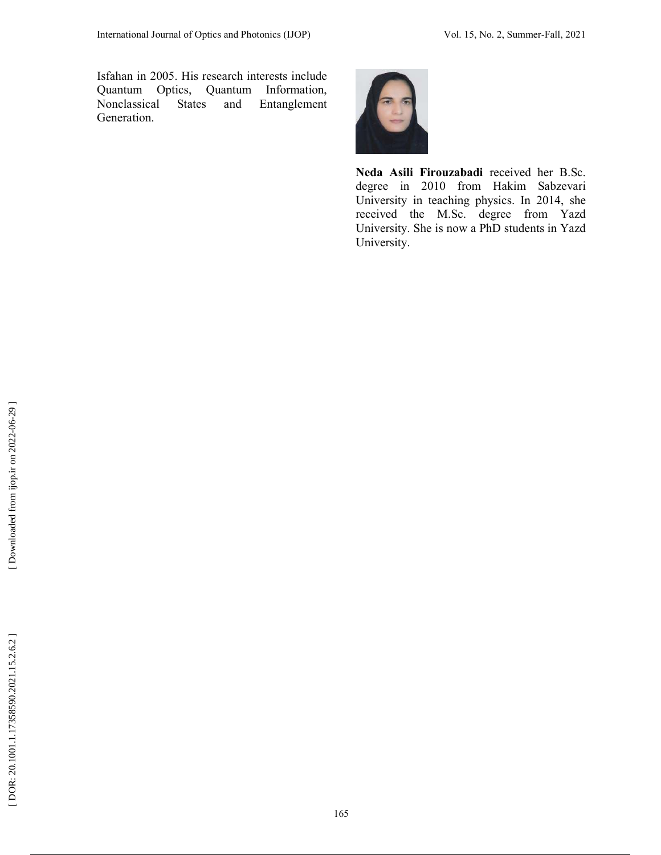Isfahan in 2005. His research interests include Quantum Optics, Quantum Information, Nonclassical States and Entanglement Generation.



**Neda Asili Firouzabadi** received her B.Sc. degree in 2010 from Hakim Sabzevari University in teaching physics. In 2014, she received the M.Sc. degree from Yazd University. She is now a PhD students in Yazd University.